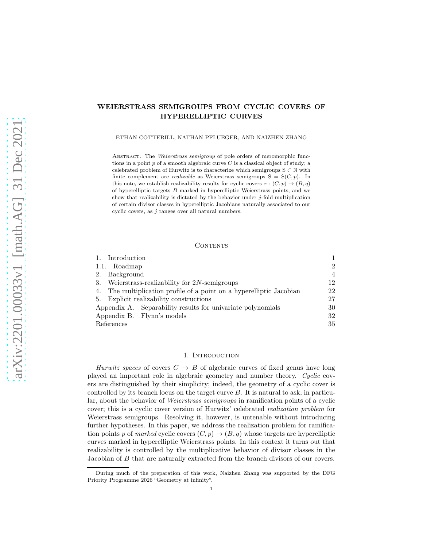# WEIERSTRASS SEMIGROUPS FROM CYCLIC COVERS OF HYPERELLIPTIC CURVES

ETHAN COTTERILL, NATHAN PFLUEGER, AND NAIZHEN ZHANG

ABSTRACT. The Weierstrass semigroup of pole orders of meromorphic functions in a point  $p$  of a smooth algebraic curve  $C$  is a classical object of study; a celebrated problem of Hurwitz is to characterize which semigroups  $S \subset \mathbb{N}$  with finite complement are *realizable* as Weierstrass semigroups  $S = S(C, p)$ . In this note, we establish realizability results for cyclic covers  $\pi : (C, p) \to (B, q)$ of hyperelliptic targets B marked in hyperelliptic Weierstrass points; and we show that realizability is dictated by the behavior under  $j$ -fold multiplication of certain divisor classes in hyperelliptic Jacobians naturally associated to our cyclic covers, as  $j$  ranges over all natural numbers.

#### **CONTENTS**

| Introduction                                                         |                |  |  |
|----------------------------------------------------------------------|----------------|--|--|
| 1.1. Roadmap                                                         | $\overline{2}$ |  |  |
| Background<br>2.                                                     | 4              |  |  |
| Weierstrass-realizability for $2N$ -semigroups<br>3.                 |                |  |  |
| 4. The multiplication profile of a point on a hyperelliptic Jacobian |                |  |  |
| 5. Explicit realizability constructions                              | 27             |  |  |
| Appendix A. Separability results for univariate polynomials          |                |  |  |
| Appendix B. Flynn's models                                           | 32             |  |  |
| References                                                           |                |  |  |

#### 1. INTRODUCTION

<span id="page-0-0"></span>Hurwitz spaces of covers  $C \rightarrow B$  of algebraic curves of fixed genus have long played an important role in algebraic geometry and number theory. Cyclic covers are distinguished by their simplicity; indeed, the geometry of a cyclic cover is controlled by its branch locus on the target curve  $B$ . It is natural to ask, in particular, about the behavior of Weierstrass semigroups in ramification points of a cyclic cover; this is a cyclic cover version of Hurwitz' celebrated realization problem for Weierstrass semigroups. Resolving it, however, is untenable without introducing further hypotheses. In this paper, we address the realization problem for ramification points p of marked cyclic covers  $(C, p) \rightarrow (B, q)$  whose targets are hyperelliptic curves marked in hyperelliptic Weierstrass points. In this context it turns out that realizability is controlled by the multiplicative behavior of divisor classes in the Jacobian of B that are naturally extracted from the branch divisors of our covers.

During much of the preparation of this work, Naizhen Zhang was supported by the DFG Priority Programme 2026 "Geometry at infinity".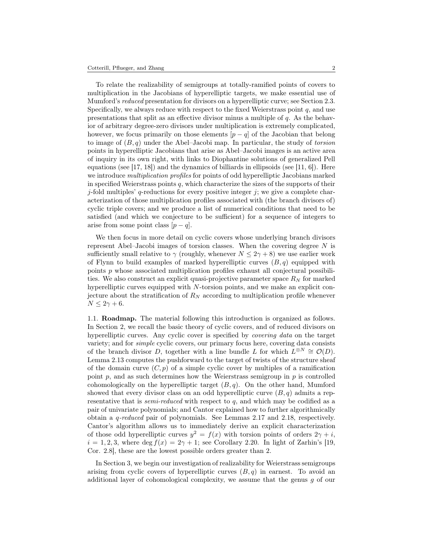To relate the realizability of semigroups at totally-ramified points of covers to multiplication in the Jacobians of hyperelliptic targets, we make essential use of Mumford's reduced presentation for divisors on a hyperelliptic curve; see Section [2.3.](#page-8-0) Specifically, we always reduce with respect to the fixed Weierstrass point  $q$ , and use presentations that split as an effective divisor minus a multiple of q. As the behavior of arbitrary degree-zero divisors under multiplication is extremely complicated, however, we focus primarily on those elements  $[p - q]$  of the Jacobian that belong to image of  $(B, q)$  under the Abel–Jacobi map. In particular, the study of *torsion* points in hyperelliptic Jacobians that arise as Abel–Jacobi images is an active area of inquiry in its own right, with links to Diophantine solutions of generalized Pell equations (see  $[17, 18]$  $[17, 18]$ ) and the dynamics of billiards in ellipsoids (see  $[11, 6]$  $[11, 6]$ ). Here we introduce multiplication profiles for points of odd hyperelliptic Jacobians marked in specified Weierstrass points  $q$ , which characterize the sizes of the supports of their j-fold multiples' q-reductions for every positive integer j; we give a complete characterization of those multiplication profiles associated with (the branch divisors of) cyclic triple covers; and we produce a list of numerical conditions that need to be satisfied (and which we conjecture to be sufficient) for a sequence of integers to arise from some point class  $[p - q]$ .

We then focus in more detail on cyclic covers whose underlying branch divisors represent Abel–Jacobi images of torsion classes. When the covering degree  $N$  is sufficiently small relative to  $\gamma$  (roughly, whenever  $N \leq 2\gamma + 8$ ) we use earlier work of Flynn to build examples of marked hyperelliptic curves  $(B, q)$  equipped with points  $p$  whose associated multiplication profiles exhaust all conjectural possibilities. We also construct an explicit quasi-projective parameter space  $R_N$  for marked hyperelliptic curves equipped with N-torsion points, and we make an explicit conjecture about the stratification of  $R_N$  according to multiplication profile whenever  $N \leq 2\gamma + 6$ .

<span id="page-1-0"></span>1.1. Roadmap. The material following this introduction is organized as follows. In Section [2,](#page-3-0) we recall the basic theory of cyclic covers, and of reduced divisors on hyperelliptic curves. Any cyclic cover is specified by *covering data* on the target variety; and for simple cyclic covers, our primary focus here, covering data consists of the branch divisor D, together with a line bundle L for which  $L^{\otimes N} \cong \mathcal{O}(D)$ . Lemma [2.13](#page-7-0) computes the pushforward to the target of twists of the structure sheaf of the domain curve  $(C, p)$  of a simple cyclic cover by multiples of a ramification point  $p$ , and as such determines how the Weierstrass semigroup in  $p$  is controlled cohomologically on the hyperelliptic target  $(B, q)$ . On the other hand, Mumford showed that every divisor class on an odd hyperelliptic curve  $(B, q)$  admits a representative that is *semi-reduced* with respect to  $q$ , and which may be codified as a pair of univariate polynomials; and Cantor explained how to further algorithmically obtain a q-reduced pair of polynomials. See Lemmas [2.17](#page-8-1) and [2.18,](#page-9-0) respectively. Cantor's algorithm allows us to immediately derive an explicit characterization of those odd hyperelliptic curves  $y^2 = f(x)$  with torsion points of orders  $2\gamma + i$ ,  $i = 1, 2, 3$ , where deg  $f(x) = 2\gamma + 1$ ; see Corollary [2.20.](#page-10-0) In light of Zarhin's [\[19,](#page-34-5) Cor. 2.8], these are the lowest possible orders greater than 2.

In Section [3,](#page-11-0) we begin our investigation of realizability for Weierstrass semigroups arising from cyclic covers of hyperelliptic curves  $(B, q)$  in earnest. To avoid an additional layer of cohomological complexity, we assume that the genus g of our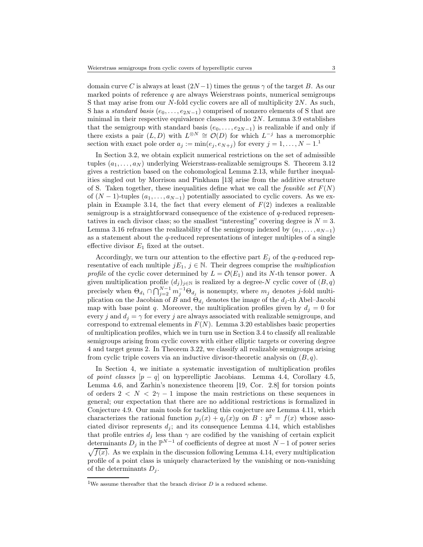domain curve C is always at least  $(2N-1)$  times the genus  $\gamma$  of the target B. As our marked points of reference  $q$  are always Weierstrass points, numerical semigroups S that may arise from our N-fold cyclic covers are all of multiplicity 2N. As such, S has a *standard basis*  $(e_0, \ldots, e_{2N-1})$  comprised of nonzero elements of S that are minimal in their respective equivalence classes modulo  $2N$ . Lemma [3.9](#page-13-0) establishes that the semigroup with standard basis  $(e_0, \ldots, e_{2N-1})$  is realizable if and only if there exists a pair  $(L, D)$  with  $L^{\otimes N} \cong \mathcal{O}(D)$  for which  $L^{-j}$  has a meromorphic section with exact pole order  $a_j := \min(e_j, e_{N+j})$  for every  $j = 1, ..., N - 1$ .<sup>1</sup>

In Section [3.2,](#page-14-0) we obtain explicit numerical restrictions on the set of admissible tuples  $(a_1, \ldots, a_N)$  underlying Weierstrass-realizable semigroups S. Theorem [3.12](#page-14-1) gives a restriction based on the cohomological Lemma [2.13,](#page-7-0) while further inequalities singled out by Morrison and Pinkham [\[13\]](#page-34-6) arise from the additive structure of S. Taken together, these inequalities define what we call the *feasible set*  $F(N)$ of  $(N-1)$ -tuples  $(a_1, \ldots, a_{N-1})$  potentially associated to cyclic covers. As we ex-plain in Example [3.14,](#page-15-0) the fact that every element of  $F(2)$  indexes a realizable semigroup is a straightforward consequence of the existence of  $q$ -reduced representatives in each divisor class; so the smallest "interesting" covering degree is  $N = 3$ . Lemma [3.16](#page-15-1) reframes the realizability of the semigroup indexed by  $(a_1, \ldots, a_{N-1})$ as a statement about the q-reduced representations of integer multiples of a single effective divisor  $E_1$  fixed at the outset.

Accordingly, we turn our attention to the effective part  $E_j$  of the q-reduced representative of each multiple  $jE_1, j \in \mathbb{N}$ . Their degrees comprise the *multiplication* profile of the cyclic cover determined by  $L = \mathcal{O}(E_1)$  and its N-th tensor power. A given multiplication profile  $(d_j)_{j\in\mathbb{N}}$  is realized by a degree-N cyclic cover of  $(B, q)$ precisely when  $\Theta_{d_1} \cap \bigcap_{j=2}^{N-1} m_j^{-1} \Theta_{d_j}$  is nonempty, where  $m_j$  denotes j-fold multiplication on the Jacobian of B and  $\Theta_{d_i}$  denotes the image of the  $d_j$ -th Abel–Jacobi map with base point q. Moreover, the multiplication profiles given by  $d_i = 0$  for every j and  $d_i = \gamma$  for every j are always associated with realizable semigroups, and correspond to extremal elements in  $F(N)$ . Lemma [3.20](#page-16-0) establishes basic properties of multiplication profiles, which we in turn use in Section [3.4](#page-17-0) to classify all realizable semigroups arising from cyclic covers with either elliptic targets or covering degree 4 and target genus 2. In Theorem [3.22,](#page-18-0) we classify all realizable semigroups arising from cyclic triple covers via an inductive divisor-theoretic analysis on  $(B, q)$ .

In Section [4,](#page-21-0) we initiate a systematic investigation of multiplication profiles of point classes  $[p - q]$  on hyperelliptic Jacobians. Lemma [4.4,](#page-21-1) Corollary [4.5,](#page-21-2) Lemma [4.6,](#page-21-3) and Zarhin's nonexistence theorem [\[19,](#page-34-5) Cor. 2.8] for torsion points of orders  $2 < N < 2\gamma - 1$  impose the main restrictions on these sequences in general; our expectation that there are no additional restrictions is formalized in Conjecture [4.9.](#page-22-0) Our main tools for tackling this conjecture are Lemma [4.11,](#page-23-0) which characterizes the rational function  $p_j(x) + q_j(x)y$  on  $B : y^2 = f(x)$  whose associated divisor represents  $d_j$ ; and its consequence Lemma [4.14,](#page-23-1) which establishes that profile entries  $d_j$  less than  $\gamma$  are codified by the vanishing of certain explicit determinants  $D_j$  in the  $\mathbb{P}^{N-1}$  of coefficients of degree at most  $N-1$  of power series  $\sqrt{f(x)}$ . As we explain in the discussion following Lemma [4.14,](#page-23-1) every multiplication profile of a point class is uniquely characterized by the vanishing or non-vanishing of the determinants  $D_i$ .

<sup>&</sup>lt;sup>1</sup>We assume thereafter that the branch divisor  $D$  is a reduced scheme.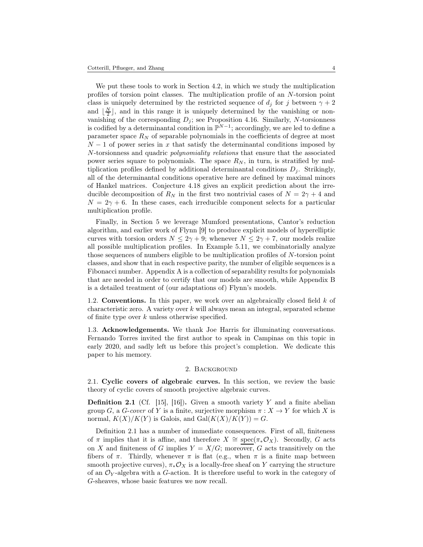We put these tools to work in Section [4.2,](#page-24-0) in which we study the multiplication profiles of torsion point classes. The multiplication profile of an N-torsion point class is uniquely determined by the restricted sequence of  $d_i$  for j between  $\gamma + 2$ and  $\lfloor \frac{N}{2} \rfloor$ , and in this range it is uniquely determined by the vanishing or nonvanishing of the corresponding  $D_j$ ; see Proposition [4.16.](#page-24-1) Similarly, N-torsionness is codified by a determinantal condition in  $\mathbb{P}^{N-1}$ ; accordingly, we are led to define a parameter space  $R_N$  of separable polynomials in the coefficients of degree at most  $N-1$  of power series in x that satisfy the determinantal conditions imposed by N-torsionness and quadric polynomiality relations that ensure that the associated power series square to polynomials. The space  $R_N$ , in turn, is stratified by multiplication profiles defined by additional determinantal conditions  $D_j$ . Strikingly, all of the determinantal conditions operative here are defined by maximal minors of Hankel matrices. Conjecture [4.18](#page-26-1) gives an explicit prediction about the irreducible decomposition of  $R_N$  in the first two nontrivial cases of  $N = 2\gamma + 4$  and  $N = 2\gamma + 6$ . In these cases, each irreducible component selects for a particular multiplication profile.

Finally, in Section [5](#page-26-0) we leverage Mumford presentations, Cantor's reduction algorithm, and earlier work of Flynn [\[9\]](#page-34-7) to produce explicit models of hyperelliptic curves with torsion orders  $N \leq 2\gamma + 9$ ; whenever  $N \leq 2\gamma + 7$ , our models realize all possible multiplication profiles. In Example [5.11,](#page-29-1) we combinatorially analyze those sequences of numbers eligible to be multiplication profiles of N-torsion point classes, and show that in each respective parity, the number of eligible sequences is a Fibonacci number. Appendix [A](#page-29-0) is a collection of separability results for polynomials that are needed in order to certify that our models are smooth, while Appendix [B](#page-31-0) is a detailed treatment of (our adaptations of) Flynn's models.

1.2. Conventions. In this paper, we work over an algebraically closed field k of characteristic zero. A variety over k will always mean an integral, separated scheme of finite type over  $k$  unless otherwise specified.

1.3. Acknowledgements. We thank Joe Harris for illuminating conversations. Fernando Torres invited the first author to speak in Campinas on this topic in early 2020, and sadly left us before this project's completion. We dedicate this paper to his memory.

#### 2. Background

<span id="page-3-0"></span>2.1. Cyclic covers of algebraic curves. In this section, we review the basic theory of cyclic covers of smooth projective algebraic curves.

<span id="page-3-1"></span>**Definition 2.1** (Cf. [\[15\]](#page-34-8), [\[16\]](#page-34-9)). Given a smooth variety Y and a finite abelian group G, a G-cover of Y is a finite, surjective morphism  $\pi : X \to Y$  for which X is normal,  $K(X)/K(Y)$  is Galois, and  $Gal(K(X)/K(Y)) = G$ .

Definition [2.1](#page-3-1) has a number of immediate consequences. First of all, finiteness of  $\pi$  implies that it is affine, and therefore  $X \cong \text{spec}(\pi_* \mathcal{O}_X)$ . Secondly, G acts on X and finiteness of G implies  $Y = X/G$ ; moreover, G acts transitively on the fibers of  $\pi$ . Thirdly, whenever  $\pi$  is flat (e.g., when  $\pi$  is a finite map between smooth projective curves),  $\pi_* \mathcal{O}_X$  is a locally-free sheaf on Y carrying the structure of an  $\mathcal{O}_Y$ -algebra with a G-action. It is therefore useful to work in the category of G-sheaves, whose basic features we now recall.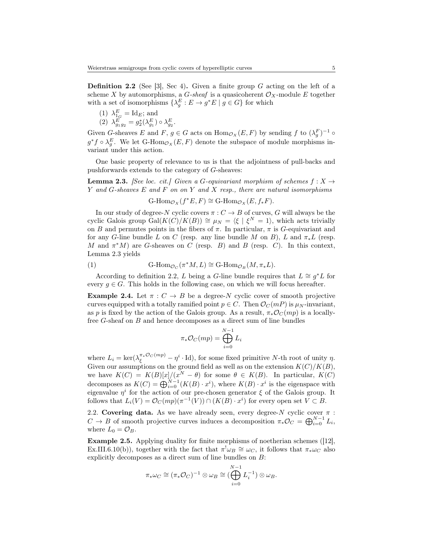<span id="page-4-1"></span>**Definition 2.2** (See [\[3\]](#page-34-10), Sec 4). Given a finite group G acting on the left of a scheme X by automorphisms, a G-sheaf is a quasicoherent  $\mathcal{O}_X$ -module E together with a set of isomorphisms  $\{\lambda_g^E : E \to g^*E \mid g \in G\}$  for which

- (1)  $\lambda_{1_G}^E = \text{Id}_E$ ; and
- (2)  $\lambda_{g_1 g_2}^E = g_2^*(\lambda_{g_1}^E) \circ \lambda_{g_2}^E$ .

Given G-sheaves E and F,  $g \in G$  acts on  $\text{Hom}_{\mathcal{O}_X}(E, F)$  by sending f to  $(\lambda_g^F)^{-1}$  $g^*f \circ \lambda_g^E$ . We let G-Hom<sub> $\mathcal{O}_X(E, F)$ </sub> denote the subspace of module morphisms invariant under this action.

One basic property of relevance to us is that the adjointness of pull-backs and pushforwards extends to the category of G-sheaves:

<span id="page-4-0"></span>**Lemma 2.3.** [See loc. cit.] Given a G-equivariant morphism of schemes  $f : X \rightarrow$  $Y$  and  $G$ -sheaves  $E$  and  $F$  on on  $Y$  and  $X$  resp., there are natural isomorphisms

$$
\text{G-Hom}_{\mathcal{O}_X}(f^*E, F) \cong \text{G-Hom}_{\mathcal{O}_X}(E, f_*F).
$$

In our study of degree-N cyclic covers  $\pi: C \to B$  of curves, G will always be the cyclic Galois group  $Gal(K(C)/K(B)) \cong \mu_N = \langle \xi | \xi^N = 1 \rangle$ , which acts trivially on B and permutes points in the fibers of  $\pi$ . In particular,  $\pi$  is G-equivariant and for any G-line bundle L on C (resp. any line bundle M on B), L and  $\pi_* L$  (resp. M and  $\pi^*M$ ) are G-sheaves on C (resp. B) and B (resp. C). In this context, Lemma [2.3](#page-4-0) yields

<span id="page-4-3"></span>(1) 
$$
\text{G-Hom}_{\mathcal{O}_C}(\pi^*M, L) \cong \text{G-Hom}_{\mathcal{O}_B}(M, \pi_*L).
$$

According to definition [2.2,](#page-4-1) L being a G-line bundle requires that  $L \cong g^*L$  for every  $q \in G$ . This holds in the following case, on which we will focus hereafter.

<span id="page-4-2"></span>**Example 2.4.** Let  $\pi$  :  $C \rightarrow B$  be a degree-N cyclic cover of smooth projective curves equipped with a totally ramified point  $p \in C$ . Then  $\mathcal{O}_C(mP)$  is  $\mu_N$ -invariant, as p is fixed by the action of the Galois group. As a result,  $\pi_*\mathcal{O}_C(mp)$  is a locallyfree G-sheaf on B and hence decomposes as a direct sum of line bundles

$$
\pi_* \mathcal{O}_C(mp) = \bigoplus_{i=0}^{N-1} L_i
$$

where  $L_i = \ker(\lambda_{\xi}^{\pi_*\mathcal{O}_C(mp)} - \eta^i \cdot \text{Id}),$  for some fixed primitive N-th root of unity  $\eta$ . Given our assumptions on the ground field as well as on the extension  $K(C)/K(B)$ , we have  $K(C) = K(B)[x]/(x^N - \theta)$  for some  $\theta \in K(B)$ . In particular,  $K(C)$ decomposes as  $K(C) = \bigoplus_{i=0}^{N-1} (K(B) \cdot x^i)$ , where  $K(B) \cdot x^i$  is the eigenspace with eigenvalue  $\eta^i$  for the action of our pre-chosen generator  $\xi$  of the Galois group. It follows that  $L_i(V) = \mathcal{O}_C(mp)(\pi^{-1}(V)) \cap (K(B) \cdot x^i)$  for every open set  $V \subset B$ .

2.2. Covering data. As we have already seen, every degree-N cyclic cover  $\pi$ :  $C \to B$  of smooth projective curves induces a decomposition  $\pi_* \mathcal{O}_C = \bigoplus_{i=0}^{N-1} L_i$ , where  $L_0 = \mathcal{O}_B$ .

Example 2.5. Applying duality for finite morphisms of noetherian schemes ([\[12\]](#page-34-11), Ex.III.6.10(b)), together with the fact that  $\pi^! \omega_B \cong \omega_C$ , it follows that  $\pi_* \omega_C$  also explicitly decomposes as a direct sum of line bundles on B:

$$
\pi_* \omega_C \cong (\pi_* \mathcal{O}_C)^{-1} \otimes \omega_B \cong \bigoplus_{i=0}^{N-1} L_i^{-1} \big) \otimes \omega_B.
$$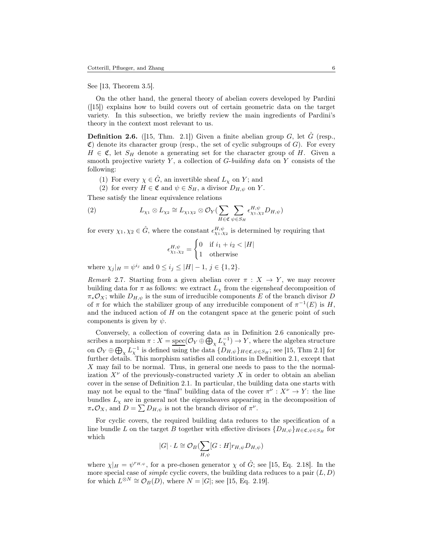See [\[13,](#page-34-6) Theorem 3.5].

On the other hand, the general theory of abelian covers developed by Pardini ([\[15\]](#page-34-8)) explains how to build covers out of certain geometric data on the target variety. In this subsection, we briefly review the main ingredients of Pardini's theory in the context most relevant to us.

<span id="page-5-0"></span>**Definition 2.6.** ([\[15,](#page-34-8) Thm. 2.1]) Given a finite abelian group G, let  $\hat{G}$  (resp.,  $\mathfrak{C}$ ) denote its character group (resp., the set of cyclic subgroups of G). For every  $H \in \mathfrak{C}$ , let  $S_H$  denote a generating set for the character group of H. Given a smooth projective variety Y, a collection of  $G$ -building data on Y consists of the following:

- (1) For every  $\chi \in \hat{G}$ , an invertible sheaf  $L_{\chi}$  on Y; and
- (2) for every  $H \in \mathfrak{C}$  and  $\psi \in S_H$ , a divisor  $D_{H,\psi}$  on Y.

These satisfy the linear equivalence relations

(2) 
$$
L_{\chi_1} \otimes L_{\chi_2} \cong L_{\chi_1 \chi_2} \otimes \mathcal{O}_Y(\sum_{H \in \mathfrak{C}} \sum_{\psi \in S_H} \epsilon_{\chi_1, \chi_2}^{H, \psi} D_{H, \psi})
$$

for every  $\chi_1, \chi_2 \in \hat{G}$ , where the constant  $\epsilon_{\chi_1, \chi_2}^{H, \psi}$  is determined by requiring that

$$
\epsilon^{H,\psi}_{\chi_1,\chi_2} = \begin{cases} 0 & \text{if } i_1 + i_2 < |H| \\ 1 & \text{otherwise} \end{cases}
$$

where  $\chi_j|_H = \psi^{i_j}$  and  $0 \le i_j \le |H| - 1, j \in \{1, 2\}.$ 

<span id="page-5-1"></span>Remark 2.7. Starting from a given abelian cover  $\pi : X \to Y$ , we may recover building data for  $\pi$  as follows: we extract  $L_{\chi}$  from the eigensheaf decomposition of  $\pi_* \mathcal{O}_X$ ; while  $D_{H,\psi}$  is the sum of irreducible components E of the branch divisor D of  $\pi$  for which the stabilizer group of any irreducible component of  $\pi^{-1}(E)$  is H, and the induced action of  $H$  on the cotangent space at the generic point of such components is given by  $\psi$ .

Conversely, a collection of covering data as in Definition [2.6](#page-5-0) canonically prescribes a morphism  $\pi: X = \text{spec}(\mathcal{O}_Y \oplus \bigoplus_{\chi} L_{\chi}^{-1}) \to Y$ , where the algebra structure on  $\mathcal{O}_Y \oplus \bigoplus_{\chi} L_{\chi}^{-1}$  is defined using the data  $\{D_{H,\psi}\}_{H \in \mathfrak{C}, \psi \in S_H}$ ; see [\[15,](#page-34-8) Thm 2.1] for further details. This morphism satisfies all conditions in Definition [2.1,](#page-3-1) except that X may fail to be normal. Thus, in general one needs to pass to the the normalization  $X^{\nu}$  of the previously-constructed variety X in order to obtain an abelian cover in the sense of Definition [2.1.](#page-3-1) In particular, the building data one starts with may not be equal to the "final" building data of the cover  $\pi^{\nu}: X^{\nu} \to Y$ : the line bundles  $L<sub>x</sub>$  are in general not the eigensheaves appearing in the decomposition of  $\pi_* \mathcal{O}_X$ , and  $D = \sum D_{H,\psi}$  is not the branch divisor of  $\pi^{\nu}$ .

For cyclic covers, the required building data reduces to the specification of a line bundle L on the target B together with effective divisors  $\{D_{H,\psi}\}_{H \in \mathfrak{C}, \psi \in S_H}$  for which

$$
|G| \cdot L \cong \mathcal{O}_B(\sum_{H,\psi}[G:H]r_{H,\psi}D_{H,\psi})
$$

where  $\chi|_H = \psi^{r_{H,\psi}}$ , for a pre-chosen generator  $\chi$  of  $\hat{G}$ ; see [\[15,](#page-34-8) Eq. 2.18]. In the more special case of *simple* cyclic covers, the building data reduces to a pair  $(L, D)$ for which  $L^{\otimes N} \cong \mathcal{O}_B(D)$ , where  $N = |G|$ ; see [\[15,](#page-34-8) Eq. 2.19].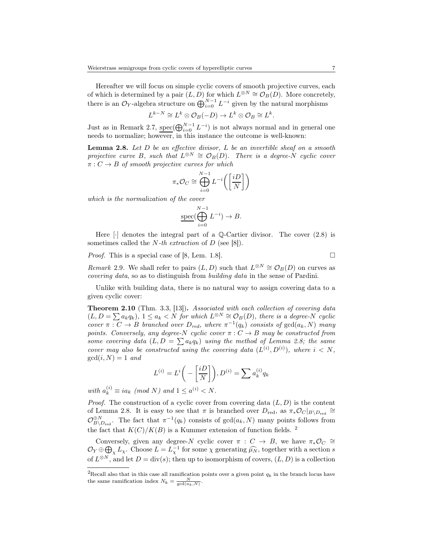Hereafter we will focus on simple cyclic covers of smooth projective curves, each of which is determined by a pair  $(L, D)$  for which  $L^{\otimes N} \cong \mathcal{O}_B(D)$ . More concretely, there is an  $\mathcal{O}_Y$ -algebra structure on  $\bigoplus_{i=0}^{N-1} L^{-i}$  given by the natural morphisms

$$
L^{k-N} \cong L^k \otimes \mathcal{O}_B(-D) \to L^k \otimes \mathcal{O}_B \cong L^k.
$$

Just as in Remark [2.7,](#page-5-1)  $\text{spec}(\bigoplus_{i=0}^{N-1} L^{-i})$  is not always normal and in general one needs to normalize; however, in this instance the outcome is well-known:

<span id="page-6-0"></span>**Lemma 2.8.** Let  $D$  be an effective divisor,  $L$  be an invertible sheaf on a smooth projective curve B, such that  $L^{\otimes N} \cong \mathcal{O}_B(D)$ . There is a degree-N cyclic cover  $\pi: C \to B$  of smooth projective curves for which

$$
\pi_*{\mathcal O}_C\cong \bigoplus_{i=0}^{N-1} L^{-i}\bigg(\bigg[\frac{iD}{N}\bigg]\bigg)
$$

which is the normalization of the cover

$$
\underline{\operatorname{spec}}(\bigoplus_{i=0}^{N-1} L^{-i}) \to B.
$$

Here  $\lceil \cdot \rceil$  denotes the integral part of a Q-Cartier divisor. The cover  $(2.8)$  is sometimes called the *N*-th extraction of *D* (see [\[8\]](#page-34-12)).

*Proof.* This is a special case of [\[8,](#page-34-12) Lem. 1.8].

Remark 2.9. We shall refer to pairs  $(L, D)$  such that  $L^{\otimes N} \cong \mathcal{O}_B(D)$  on curves as covering data, so as to distinguish from building data in the sense of Pardini.

Unlike with building data, there is no natural way to assign covering data to a given cyclic cover:

<span id="page-6-1"></span>Theorem 2.10 (Thm. 3.3, [\[13\]](#page-34-6)). Associated with each collection of covering data  $(L, D = \sum a_k q_k), 1 \leq a_k < N$  for which  $L^{\otimes N} \cong \mathcal{O}_B(D)$ , there is a degree-N cyclic cover  $\pi: C \to B$  branched over  $D_{red}$ , where  $\pi^{-1}(q_k)$  consists of  $gcd(a_k, N)$  many points. Conversely, any degree-N cyclic cover  $\pi: C \to B$  may be constructed from some covering data  $(L, D = \sum a_k q_k)$  using the method of Lemma [2.8;](#page-6-0) the same cover may also be constructed using the covering data  $(L^{(i)}, D^{(i)})$ , where  $i < N$ ,  $gcd(i, N) = 1$  and

$$
L^{(i)} = L^i \bigg( - \bigg[ \frac{iD}{N} \bigg] \bigg), D^{(i)} = \sum a_k^{(i)} q_k
$$

with  $a_k^{(i)} \equiv i a_k \pmod{N}$  and  $1 \leq a^{(i)} < N$ .

*Proof.* The construction of a cyclic cover from covering data  $(L, D)$  is the content of Lemma [2.8.](#page-6-0) It is easy to see that  $\pi$  is branched over  $D_{\text{red}}$ , as  $\pi_*\mathcal{O}_C|_{B\setminus D_{\text{red}}} \cong$  $\mathcal{O}_{B\setminus D_{\text{red}}}^{\oplus N}$ . The fact that  $\pi^{-1}(q_k)$  consists of  $gcd(a_k, N)$  many points follows from the fact that  $K(C)/K(B)$  is a Kummer extension of function fields. <sup>2</sup>

Conversely, given any degree-N cyclic cover  $\pi : C \to B$ , we have  $\pi_*\mathcal{O}_C \cong$  $\mathcal{O}_Y \oplus \bigoplus_{\chi} L_{\chi}$ . Choose  $L = L_{\chi}^{-1}$  for some  $\chi$  generating  $\widehat{\mu_N}$ , together with a section s of  $L^{\otimes N}$ , and let  $D = \text{div}(s)$ ; then up to isomorphism of covers,  $(L, D)$  is a collection

<sup>&</sup>lt;sup>2</sup>Recall also that in this case all ramification points over a given point  $q_k$  in the branch locus have the same ramification index  $N_k = \frac{N}{\gcd(a_k, N)}$ .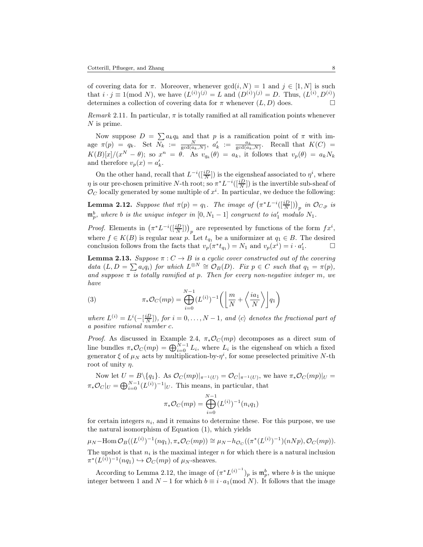of covering data for  $\pi$ . Moreover, whenever  $gcd(i, N) = 1$  and  $j \in [1, N]$  is such that  $i \cdot j \equiv 1 \pmod{N}$ , we have  $(L^{(i)})(j) = L$  and  $(D^{(i)})(j) = D$ . Thus,  $(L^{(i)}, D^{(i)})$ determines a collection of covering data for  $\pi$  whenever  $(L, D)$  does.

*Remark* 2.11. In particular,  $\pi$  is totally ramified at all ramification points whenever N is prime.

Now suppose  $D = \sum a_k q_k$  and that p is a ramification point of  $\pi$  with image  $\pi(p) = q_k$ . Set  $\overline{N_k} := \frac{N}{\gcd(a_k, N)}, a'_k := \frac{a_k}{\gcd(a_k, N)}$ . Recall that  $K(C) =$  $K(B)[x]/(x^N - \theta);$  so  $x^n = \theta$ . As  $v_{q_k}(\theta) = a_k$ , it follows that  $v_p(\theta) = a_k N_k$ and therefore  $v_p(x) = a'_k$ .

On the other hand, recall that  $L^{-i}(\frac{iD}{N})$  is the eigensheaf associated to  $\eta^i$ , where  $\eta$  is our pre-chosen primitive N-th root; so  $\pi^* L^{-i}([\frac{iD}{N}])$  is the invertible sub-sheaf of  $\mathcal{O}_C$  locally generated by some multiple of  $x^i$ . In particular, we deduce the following:

<span id="page-7-1"></span>**Lemma 2.12.** Suppose that  $\pi(p) = q_1$ . The image of  $(\pi^* L^{-i}([\frac{iD}{N}]))_p$  in  $\mathcal{O}_{C,p}$  is  $\mathfrak{m}^b_p$ , where b is the unique integer in  $[0, N_1-1]$  congruent to ia'<sub>1</sub> modulo  $N_1$ .

*Proof.* Elements in  $(\pi^* L^{-i}([\frac{iD}{N}]))_p$  are represented by functions of the form  $f x^i$ , where  $f \in K(B)$  is regular near p. Let  $t_{q_1}$  be a uniformizer at  $q_1 \in B$ . The desired conclusion follows from the facts that  $v_p(\pi^* t_{q_1}) = N_1$  and  $v_p(x^i) = i \cdot a'_1$  $\Box$ 

<span id="page-7-0"></span>**Lemma 2.13.** Suppose  $\pi: C \to B$  is a cyclic cover constructed out of the covering data  $(L, D = \sum a_i q_i)$  for which  $L^{\otimes N} \cong \mathcal{O}_B(D)$ . Fix  $p \in C$  such that  $q_1 = \pi(p)$ , and suppose  $\pi$  is totally ramified at p. Then for every non-negative integer m, we have

(3) 
$$
\pi_* \mathcal{O}_C(mp) = \bigoplus_{i=0}^{N-1} (L^{(i)})^{-1} \left( \left\lfloor \frac{m}{N} + \left\langle \frac{ia_1}{N} \right\rangle \right\rfloor q_1 \right)
$$

where  $L^{(i)} = L^{i}(-\frac{iD}{N})$ , for  $i = 0, ..., N-1$ , and  $\langle c \rangle$  denotes the fractional part of a positive rational number c.

*Proof.* As discussed in Example [2.4,](#page-4-2)  $\pi_*\mathcal{O}_C(mp)$  decomposes as a direct sum of line bundles  $\pi_*\mathcal{O}_C(mp) = \bigoplus_{i=0}^{N-1} L_i$ , where  $L_i$  is the eigensheaf on which a fixed generator  $\xi$  of  $\mu_N$  acts by multiplication-by- $\eta^i$ , for some preselected primitive N-th root of unity  $\eta$ .

Now let  $U = B \setminus \{q_1\}$ . As  $\mathcal{O}_C(mp)|_{\pi^{-1}(U)} = \mathcal{O}_C|_{\pi^{-1}(U)}$ , we have  $\pi_*\mathcal{O}_C(mp)|_U =$  $\pi_*\mathcal{O}_C|_U = \bigoplus_{i=0}^{N-1} (L^{(i)})^{-1}|_U$ . This means, in particular, that

$$
\pi_* \mathcal{O}_C(mp) = \bigoplus_{i=0}^{N-1} (L^{(i)})^{-1}(n_i q_1)
$$

for certain integers  $n_i$ , and it remains to determine these. For this purpose, we use the natural isomorphism of Equation [\(1\)](#page-4-3), which yields

 $\mu_N$ -Hom  $\mathcal{O}_B((L^{(i)})^{-1}(nq_1), \pi_*\mathcal{O}_C(mp)) \cong \mu_N - h_{\mathcal{O}_C}((\pi^*(L^{(i)})^{-1})(nNp), \mathcal{O}_C(mp)).$ The upshot is that  $n_i$  is the maximal integer  $n$  for which there is a natural inclusion  $\pi^*(L^{(i)})^{-1}(nq_1) \hookrightarrow \mathcal{O}_C(mp)$  of  $\mu_N$ -sheaves.

According to Lemma [2.12,](#page-7-1) the image of  $(\pi^* L^{(i)^{-1}})_p$  is  $\mathfrak{m}_p^b$ , where b is the unique integer between 1 and  $N-1$  for which  $b \equiv i \cdot a_1 \pmod{N}$ . It follows that the image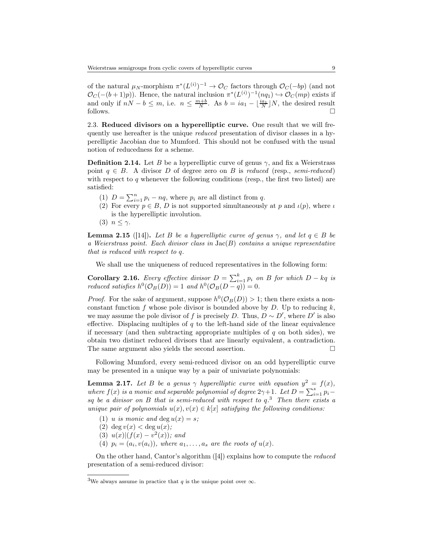of the natural  $\mu_N$ -morphism  $\pi^*(L^{(i)})^{-1} \to \mathcal{O}_C$  factors through  $\mathcal{O}_C(-bp)$  (and not  $\mathcal{O}_C(-(b+1)p)$ . Hence, the natural inclusion  $\pi^*(L^{(i)})^{-1}(nq_1) \hookrightarrow \mathcal{O}_C(mp)$  exists if and only if  $nN - b \le m$ , i.e.  $n \le \frac{m+b}{N}$ . As  $b = ia_1 - \lfloor \frac{ia_1}{N} \rfloor N$ , the desired result follows.  $\Box$ 

<span id="page-8-0"></span>2.3. Reduced divisors on a hyperelliptic curve. One result that we will frequently use hereafter is the unique reduced presentation of divisor classes in a hyperelliptic Jacobian due to Mumford. This should not be confused with the usual notion of reducedness for a scheme.

<span id="page-8-4"></span>**Definition 2.14.** Let B be a hyperelliptic curve of genus  $\gamma$ , and fix a Weierstrass point  $q \in B$ . A divisor D of degree zero on B is reduced (resp., semi-reduced) with respect to  $q$  whenever the following conditions (resp., the first two listed) are satisfied:

- (1)  $D = \sum_{i=1}^{n} p_i nq$ , where  $p_i$  are all distinct from q.
- (2) For every  $p \in B$ , D is not supported simultaneously at p and  $\iota(p)$ , where  $\iota$ is the hyperelliptic involution.
- (3)  $n \leq \gamma$ .

<span id="page-8-3"></span>**Lemma 2.15** ([\[14\]](#page-34-13)). Let B be a hyperelliptic curve of genus  $\gamma$ , and let  $q \in B$  be a Weierstrass point. Each divisor class in  $Jac(B)$  contains a unique representative that is reduced with respect to q.

We shall use the uniqueness of reduced representatives in the following form:

<span id="page-8-2"></span>**Corollary 2.16.** Every effective divisor  $D = \sum_{i=1}^{k} p_i$  on B for which  $D - kq$  is reduced satisfies  $h^0(\mathcal{O}_B(D)) = 1$  and  $h^0(\mathcal{O}_B(D-q)) = 0$ .

*Proof.* For the sake of argument, suppose  $h^0(\mathcal{O}_B(D)) > 1$ ; then there exists a nonconstant function f whose pole divisor is bounded above by  $D$ . Up to reducing  $k$ , we may assume the pole divisor of f is precisely D. Thus,  $D \sim D'$ , where  $D'$  is also effective. Displacing multiples of  $q$  to the left-hand side of the linear equivalence if necessary (and then subtracting appropriate multiples of  $q$  on both sides), we obtain two distinct reduced divisors that are linearly equivalent, a contradiction. The same argument also yields the second assertion.  $\Box$ 

Following Mumford, every semi-reduced divisor on an odd hyperelliptic curve may be presented in a unique way by a pair of univariate polynomials:

<span id="page-8-1"></span>**Lemma 2.17.** Let B be a genus  $\gamma$  hyperelliptic curve with equation  $y^2 = f(x)$ , where  $f(x)$  is a monic and separable polynomial of degree  $2\gamma+1$ . Let  $D=\sum_{i=1}^s p_i-1$ sq be a divisor on B that is semi-reduced with respect to  $q^3$ . Then there exists a unique pair of polynomials  $u(x), v(x) \in k[x]$  satisfying the following conditions:

- (1) u is monic and deg  $u(x) = s$ ;
- (2) deg  $v(x) < \deg u(x)$ ;
- (3)  $u(x)| (f(x) v^2(x))$ ; and
- (4)  $p_i = (a_i, v(a_i))$ , where  $a_1, \ldots, a_s$  are the roots of  $u(x)$ .

On the other hand, Cantor's algorithm ([\[4\]](#page-34-14)) explains how to compute the reduced presentation of a semi-reduced divisor:

<sup>&</sup>lt;sup>3</sup>We always assume in practice that q is the unique point over  $\infty$ .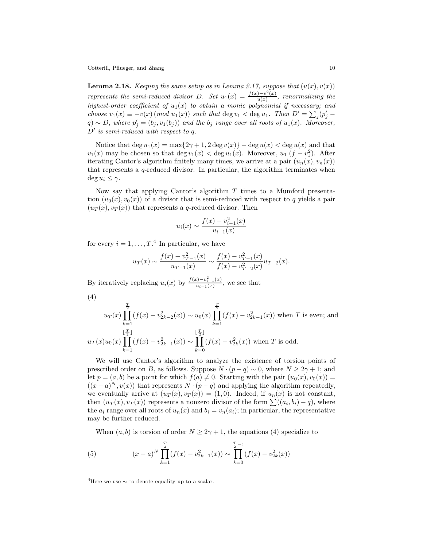<span id="page-9-0"></span>**Lemma 2.18.** Keeping the same setup as in Lemma [2.17,](#page-8-1) suppose that  $(u(x), v(x))$ represents the semi-reduced divisor D. Set  $u_1(x) = \frac{f(x)-v^2(x)}{u(x)}$  $\frac{u(x)-v(x)}{u(x)}$ , renormalizing the highest-order coefficient of  $u_1(x)$  to obtain a monic polynomial if necessary; and choose  $v_1(x) \equiv -v(x) \pmod{u_1(x)}$  such that  $\deg v_1 < \deg u_1$ . Then  $D' = \sum_j (p'_j - p'_j)$  $q) \sim D$ , where  $p'_{j} = (b_{j}, v_{1}(b_{j}))$  and the  $b_{j}$  range over all roots of  $u_{1}(x)$ . Moreover, D′ is semi-reduced with respect to q.

Notice that deg  $u_1(x) = \max\{2\gamma + 1, 2 \deg v(x)\} - \deg u(x) < \deg u(x)$  and that  $v_1(x)$  may be chosen so that  $\deg v_1(x) < \deg u_1(x)$ . Moreover,  $u_1|(f - v_1^2)$ . After iterating Cantor's algorithm finitely many times, we arrive at a pair  $(u_n(x), v_n(x))$ that represents a  $q$ -reduced divisor. In particular, the algorithm terminates when deg  $u_i \leq \gamma$ .

Now say that applying Cantor's algorithm  $T$  times to a Mumford presentation  $(u_0(x), v_0(x))$  of a divisor that is semi-reduced with respect to q yields a pair  $(u_T(x), v_T(x))$  that represents a q-reduced divisor. Then

$$
u_i(x) \sim \frac{f(x) - v_{i-1}^2(x)}{u_{i-1}(x)}
$$

for every  $i = 1, ..., T$ .<sup>4</sup> In particular, we have

$$
u_T(x) \sim \frac{f(x) - v_{T-1}^2(x)}{u_{T-1}(x)} \sim \frac{f(x) - v_{T-1}^2(x)}{f(x) - v_{T-2}^2(x)} u_{T-2}(x).
$$

By iteratively replacing  $u_i(x)$  by  $\frac{f(x)-v_{i-1}^2(x)}{u_{i-1}(x)}$  $\frac{v_i - v_{i-1}(x)}{u_{i-1}(x)}$ , we see that

(4)

<span id="page-9-1"></span>
$$
u_T(x) \prod_{k=1}^{\frac{T}{2}} (f(x) - v_{2k-2}^2(x)) \sim u_0(x) \prod_{k=1}^{\frac{T}{2}} (f(x) - v_{2k-1}^2(x))
$$
 when *T* is even; and  

$$
u_T(x)u_0(x) \prod_{k=1}^{\lfloor \frac{T}{2} \rfloor} (f(x) - v_{2k-1}^2(x)) \sim \prod_{k=0}^{\lfloor \frac{T}{2} \rfloor} (f(x) - v_{2k}^2(x))
$$
 when *T* is odd.

We will use Cantor's algorithm to analyze the existence of torsion points of prescribed order on B, as follows. Suppose  $N \cdot (p - q) \sim 0$ , where  $N \ge 2\gamma + 1$ ; and let  $p = (a, b)$  be a point for which  $f(a) \neq 0$ . Starting with the pair  $(u_0(x), v_0(x)) =$  $((x-a)^N, v(x))$  that represents  $N \cdot (p-q)$  and applying the algorithm repeatedly, we eventually arrive at  $(u_T(x), v_T(x)) = (1, 0)$ . Indeed, if  $u_n(x)$  is not constant, then  $(u_T(x), v_T(x))$  represents a nonzero divisor of the form  $\sum((a_i, b_i) - q)$ , where the  $a_i$  range over all roots of  $u_n(x)$  and  $b_i = v_n(a_i)$ ; in particular, the representative may be further reduced.

<span id="page-9-2"></span>When  $(a, b)$  is torsion of order  $N \geq 2\gamma + 1$ , the equations [\(4\)](#page-9-1) specialize to

(5) 
$$
(x-a)^N \prod_{k=1}^{\frac{T}{2}} (f(x) - v_{2k-1}^2(x)) \sim \prod_{k=0}^{\frac{T}{2}-1} (f(x) - v_{2k}^2(x))
$$

<sup>&</sup>lt;sup>4</sup>Here we use  $\sim$  to denote equality up to a scalar.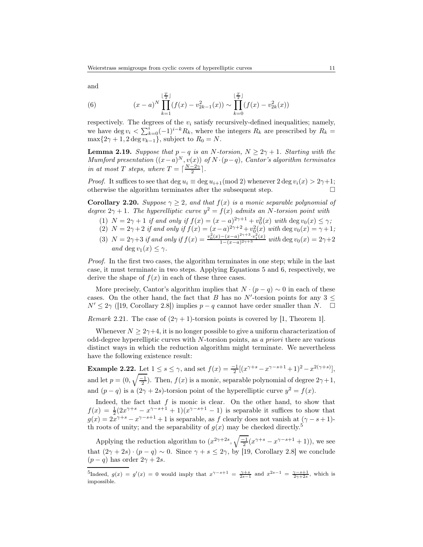and

<span id="page-10-1"></span>(6) 
$$
(x-a)^N \prod_{k=1}^{\lfloor \frac{T}{2} \rfloor} (f(x) - v_{2k-1}^2(x)) \sim \prod_{k=0}^{\lfloor \frac{T}{2} \rfloor} (f(x) - v_{2k}^2(x))
$$

respectively. The degrees of the  $v_i$  satisfy recursively-defined inequalities; namely, we have deg  $v_i < \sum_{k=0}^{i} (-1)^{i-k} R_k$ , where the integers  $R_k$  are prescribed by  $R_k =$  $\max\{2\gamma + 1, 2 \deg v_{k-1}\},$  subject to  $R_0 = N$ .

**Lemma 2.19.** Suppose that  $p - q$  is an N-torsion,  $N \geq 2\gamma + 1$ . Starting with the Mumford presentation  $((x-a)^N, v(x))$  of  $N \cdot (p-q)$ , Cantor's algorithm terminates in at most T steps, where  $T = \lceil \frac{N-2\gamma}{2} \rceil$ .

*Proof.* It suffices to see that deg  $u_i \equiv \deg u_{i+1} \pmod{2}$  whenever  $2 \deg v_i(x) > 2\gamma+1$ ; otherwise the algorithm terminates after the subsequent step otherwise the algorithm terminates after the subsequent step.

<span id="page-10-0"></span>Corollary 2.20. Suppose  $\gamma \geq 2$ , and that  $f(x)$  is a monic separable polynomial of degree  $2\gamma + 1$ . The hyperelliptic curve  $y^2 = f(x)$  admits an N-torsion point with

- (1)  $N = 2\gamma + 1$  if and only if  $f(x) = (x a)^{2\gamma + 1} + v_0^2(x)$  with deg  $v_0(x) \leq \gamma$ ;
- (2)  $N = 2\gamma + 2$  if and only if  $f(x) = (x a)^{2\gamma + 2} + v_0^2(x)$  with deg  $v_0(x) = \gamma + 1$ ;
- (3)  $N = 2\gamma + 3$  if and only if  $f(x) = \frac{v_0^2(x) (x-a)^{2\gamma+3} \cdot v_1^2(x)}{1 (x-a)^{2\gamma+3}}$  $\frac{1-(x-a)^{-(x-a)(x-b-1)}}{1-(x-a)^{2\gamma+3}}$  with deg  $v_0(x) = 2\gamma+2$ and deg  $v_1(x) \leq \gamma$ .

Proof. In the first two cases, the algorithm terminates in one step; while in the last case, it must terminate in two steps. Applying Equations [5](#page-9-2) and [6,](#page-10-1) respectively, we derive the shape of  $f(x)$  in each of these three cases.

More precisely, Cantor's algorithm implies that  $N \cdot (p - q) \sim 0$  in each of these cases. On the other hand, the fact that B has no N'-torsion points for any  $3 \le$  $N' \leq 2\gamma$  ([\[19,](#page-34-5) Corollary 2.8]) implies  $p - q$  cannot have order smaller than N.  $\square$ 

*Remark* 2.21. The case of  $(2\gamma + 1)$ -torsion points is covered by [\[1,](#page-34-15) Theorem 1].

Whenever  $N \geq 2\gamma+4$ , it is no longer possible to give a uniform characterization of odd-degree hyperelliptic curves with N-torsion points, as a priori there are various distinct ways in which the reduction algorithm might terminate. We nevertheless have the following existence result:

<span id="page-10-2"></span>**Example 2.22.** Let  $1 \le s \le \gamma$ , and set  $f(x) = \frac{-1}{2}[(x^{\gamma+s} - x^{\gamma-s+1} + 1)^2 - x^{2(\gamma+s)}],$ and let  $p = (0, \sqrt{\frac{-1}{2}})$ . Then,  $f(x)$  is a monic, separable polynomial of degree  $2\gamma + 1$ , and  $(p - q)$  is a  $(2\gamma + 2s)$ -torsion point of the hyperelliptic curve  $y^2 = f(x)$ .

Indeed, the fact that  $f$  is monic is clear. On the other hand, to show that  $f(x) = \frac{1}{2}(2x^{\gamma+s} - x^{\gamma-s+1} + 1)(x^{\gamma-s+1} - 1)$  is separable it suffices to show that  $g(x) = 2x^{\gamma+s} - x^{\gamma-s+1} + 1$  is separable, as f clearly does not vanish at  $(\gamma - s + 1)$ th roots of unity; and the separability of  $g(x)$  may be checked directly.<sup>5</sup>

Applying the reduction algorithm to  $(x^{2\gamma+2s}, \sqrt{\frac{-1}{2}}(x^{\gamma+s}-x^{\gamma-s+1}+1))$ , we see that  $(2\gamma + 2s) \cdot (p - q) \sim 0$ . Since  $\gamma + s \leq 2\gamma$ , by [\[19,](#page-34-5) Corollary 2.8] we conclude  $(p - q)$  has order  $2\gamma + 2s$ .

<sup>&</sup>lt;sup>5</sup>Indeed,  $g(x) = g'(x) = 0$  would imply that  $x^{\gamma-s+1} = \frac{\gamma+s}{2s-1}$  and  $x^{2s-1} = \frac{\gamma-s+1}{2\gamma+2s}$ , which is impossible.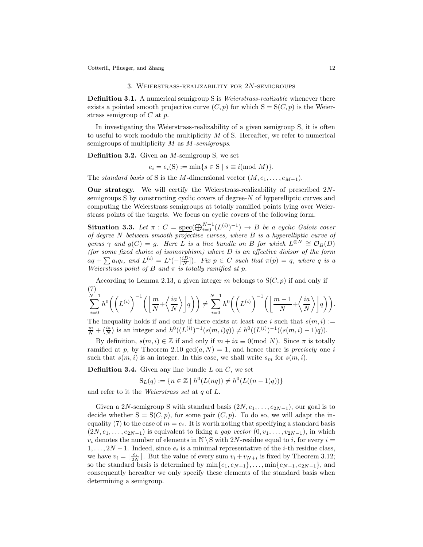### 3. WEIERSTRASS-REALIZABILITY FOR  $2N$ -SEMIGROUPS

<span id="page-11-0"></span>**Definition 3.1.** A numerical semigroup S is *Weierstrass-realizable* whenever there exists a pointed smooth projective curve  $(C, p)$  for which  $S = S(C, p)$  is the Weierstrass semigroup of  $C$  at  $p$ .

In investigating the Weierstrass-realizability of a given semigroup S, it is often to useful to work modulo the multiplicity  $M$  of S. Hereafter, we refer to numerical semigroups of multiplicity M as M-semigroups.

**Definition 3.2.** Given an  $M$ -semigroup S, we set

 $e_i = e_i(S) := \min\{s \in S \mid s \equiv i \pmod{M}\}.$ 

The standard basis of S is the M-dimensional vector  $(M, e_1, \ldots, e_{M-1})$ .

Our strategy. We will certify the Weierstrass-realizability of prescribed 2Nsemigroups S by constructing cyclic covers of degree-N of hyperelliptic curves and computing the Weierstrass semigroups at totally ramified points lying over Weierstrass points of the targets. We focus on cyclic covers of the following form.

<span id="page-11-2"></span>Situation 3.3. Let  $\pi : C = \text{spec}(\bigoplus_{i=0}^{N-1} (L^{(i)})^{-1}) \to B$  be a cyclic Galois cover of degree N between smooth projective curves, where B is a hyperelliptic curve of genus  $\gamma$  and  $g(C) = g$ . Here L is a line bundle on B for which  $L^{\otimes N} \cong \mathcal{O}_B(D)$ (for some fixed choice of isomorphism) where  $D$  is an effective divisor of the form  $aq + \sum a_i q_i$ , and  $L^{(i)} = L^{i}(-\frac{iD}{N})$ . Fix  $p \in C$  such that  $\pi(p) = q$ , where q is a Weierstrass point of B and  $\pi$  is totally ramified at p.

According to Lemma [2.13,](#page-7-0) a given integer m belongs to  $S(C, p)$  if and only if (7)

<span id="page-11-1"></span>
$$
\sum_{i=0}^{N-1} h^0\left( \left( L^{(i)} \right)^{-1} \left( \left\lfloor \frac{m}{N} + \left\langle \frac{ia}{N} \right\rangle \right] q \right) \right) \neq \sum_{i=0}^{N-1} h^0 \left( \left( L^{(i)} \right)^{-1} \left( \left\lfloor \frac{m-1}{N} + \left\langle \frac{ia}{N} \right\rangle \right] q \right) \right).
$$

The inequality holds if and only if there exists at least one i such that  $s(m, i)$  :=  $\frac{m}{N} + \langle \frac{ia}{N} \rangle$  is an integer and  $h^0((L^{(i)})^{-1}(s(m,i)q)) \neq h^0((L^{(i)})^{-1}((s(m,i)-1)q)).$ 

By definition,  $s(m, i) \in \mathbb{Z}$  if and only if  $m + ia \equiv 0 \pmod{N}$ . Since  $\pi$  is totally ramified at p, by Theorem [2.10](#page-6-1)  $gcd(a, N) = 1$ , and hence there is precisely one i such that  $s(m, i)$  is an integer. In this case, we shall write  $s_m$  for  $s(m, i)$ .

**Definition 3.4.** Given any line bundle  $L$  on  $C$ , we set

$$
S_L(q) := \{ n \in \mathbb{Z} \mid h^0(L(nq)) \neq h^0(L((n-1)q)) \}
$$

and refer to it the Weierstrass set at q of L.

Given a 2N-semigroup S with standard basis  $(2N, e_1, \ldots, e_{2N-1})$ , our goal is to decide whether  $S = S(C, p)$ , for some pair  $(C, p)$ . To do so, we will adapt the in-equality [\(7\)](#page-11-1) to the case of  $m = e_i$ . It is worth noting that specifying a standard basis  $(2N, e_1, \ldots, e_{2N-1})$  is equivalent to fixing a *qap vector*  $(0, v_1, \ldots, v_{2N-1})$ , in which  $v_i$  denotes the number of elements in  $N\ S$  with 2N-residue equal to *i*, for every  $i =$  $1, \ldots, 2N-1$ . Indeed, since  $e_i$  is a minimal representative of the *i*-th residue class, we have  $v_i = \lfloor \frac{e_i}{2N} \rfloor$ . But the value of every sum  $v_i + v_{N+i}$  is fixed by Theorem [3.12;](#page-14-1) so the standard basis is determined by  $\min\{e_1, e_{N+1}\}, \ldots, \min\{e_{N-1}, e_{2N-1}\}\$ , and consequently hereafter we only specify these elements of the standard basis when determining a semigroup.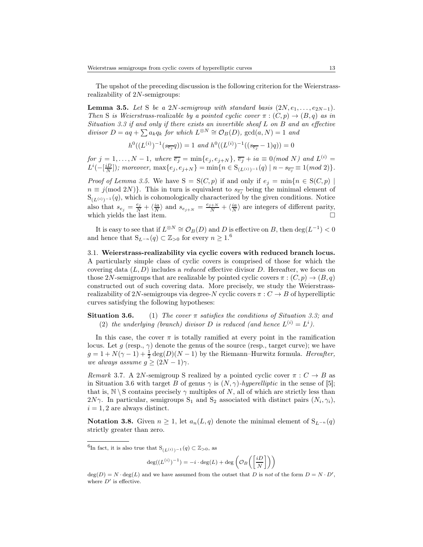The upshot of the preceding discussion is the following criterion for the Weierstrassrealizability of  $2N$ -semigroups:

<span id="page-12-0"></span>**Lemma 3.5.** Let S be a 2N-semigroup with standard basis  $(2N, e_1, \ldots, e_{2N-1})$ . Then S is Weierstrass-realizable by a pointed cyclic cover  $\pi : (C, p) \rightarrow (B, q)$  as in Situation [3.3](#page-11-2) if and only if there exists an invertible sheaf L on B and an effective divisor  $D = aq + \sum a_k q_k$  for which  $L^{\otimes N} \cong \mathcal{O}_B(D)$ ,  $gcd(a, N) = 1$  and

$$
h^0((L^{(i)})^{-1}(s_{\overline{e_j}}q)) = 1 \ and \ h^0((L^{(i)})^{-1}((s_{\overline{e_j}}-1)q)) = 0
$$

for  $j = 1, ..., N - 1$ , where  $\overline{e_j} = \min\{e_j, e_{j+N}\}, \overline{e_j} + ia \equiv 0 \pmod{N}$  and  $L^{(i)} =$  $L^{i}(-\frac{p}{N})$ ; moreover, max{ $e_j, e_{j+N}$ } = min{n ∈ S<sub>(L<sup>(i)</sup>)</sub>-1(q) | n − s<sub> $\overline{e_j}$ </sub> ≡ 1(mod 2)}.

*Proof of Lemma [3.5.](#page-12-0)* We have  $S = S(C, p)$  if and only if  $e_j = \min\{n \in S(C, p) \mid \text{and } n \in S(C, p)\}$  $n \equiv j(\text{mod } 2N)$ . This in turn is equivalent to  $s_{\overline{e_j}}$  being the minimal element of  $S_{(L^{(i)})^{-1}}(q)$ , which is cohomologically characterized by the given conditions. Notice also that  $s_{e_j} = \frac{e_j}{N} + \langle \frac{i a}{N} \rangle$  and  $s_{e_{j+N}} = \frac{e_{j+N}}{N} + \langle \frac{i a}{N} \rangle$  are integers of different parity, which yields the last item.  $\Box$ 

It is easy to see that if  $L^{\otimes N} \cong \mathcal{O}_B(D)$  and D is effective on B, then  $\deg(L^{-1}) < 0$ and hence that  $S_{L^{-n}}(q) \subset \mathbb{Z}_{>0}$  for every  $n \geq 1.6$ 

3.1. Weierstrass-realizability via cyclic covers with reduced branch locus. A particularly simple class of cyclic covers is comprised of those for which the covering data  $(L, D)$  includes a *reduced* effective divisor D. Hereafter, we focus on those 2N-semigroups that are realizable by pointed cyclic covers  $\pi : (C, p) \to (B, q)$ constructed out of such covering data. More precisely, we study the Weierstrassrealizability of 2N-semigroups via degree-N cyclic covers  $\pi: C \to B$  of hyperelliptic curves satisfying the following hypotheses:

Situation 3.6. (1) The cover  $\pi$  satisfies the conditions of Situation [3.3;](#page-11-2) and (2) the underlying (branch) divisor D is reduced (and hence  $L^{(i)} = L^i$ ).

In this case, the cover  $\pi$  is totally ramified at every point in the ramification locus. Let g (resp.,  $\gamma$ ) denote the genus of the source (resp., target curve); we have  $g = 1 + N(\gamma - 1) + \frac{1}{2} \deg(D)(N - 1)$  by the Riemann–Hurwitz formula. *Hereafter*, we always assume  $g \geq (2N-1)\gamma$ .

Remark 3.7. A 2N-semigroup S realized by a pointed cyclic cover  $\pi: C \to B$  as in Situation 3.6 with target B of genus  $\gamma$  is  $(N, \gamma)$ -hyperelliptic in the sense of [\[5\]](#page-34-16); that is,  $\mathbb{N} \setminus \mathbb{S}$  contains precisely  $\gamma$  multiples of N, all of which are strictly less than 2 $N\gamma$ . In particular, semigroups S<sub>1</sub> and S<sub>2</sub> associated with distinct pairs  $(N_i, \gamma_i)$ ,  $i = 1, 2$  are always distinct.

Notation 3.8. Given  $n \geq 1$ , let  $a_n(L, q)$  denote the minimal element of  $S_{L^{-n}}(q)$ strictly greater than zero.

$$
\deg((L^{(i)})^{-1}) = -i \cdot \deg(L) + \deg\left(\mathcal{O}_B\left(\left[\frac{iD}{N}\right]\right)\right)
$$

<sup>&</sup>lt;sup>6</sup>In fact, it is also true that  $S_{(L(i))^{-1}}(q) \subset \mathbb{Z}_{>0}$ , as

 $deg(D) = N \cdot deg(L)$  and we have assumed from the outset that D is not of the form  $D = N \cdot D'$ , where  $D'$  is effective.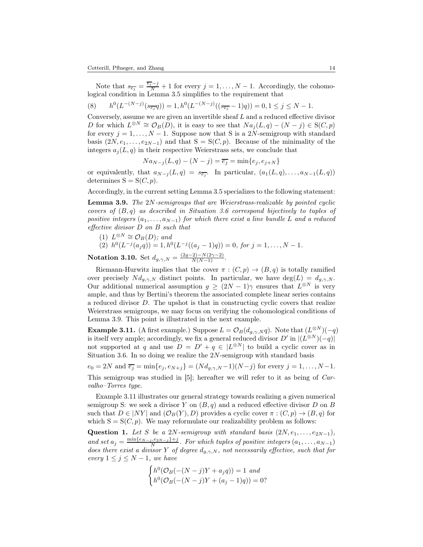Note that  $s_{\overline{e_j}} = \frac{\overline{e_j}-j}{N} + 1$  for every  $j = 1, ..., N-1$ . Accordingly, the cohomological condition in Lemma [3.5](#page-12-0) simplifies to the requirement that

 $(8)$  $0(L^{-(N-j)}(s_{\overline{e_j}}q)) = 1, h^0(L^{-(N-j)}((s_{\overline{e_j}}-1)q)) = 0, 1 \le j \le N-1.$ 

Conversely, assume we are given an invertible sheaf L and a reduced effective divisor D for which  $L^{\otimes N} \cong \mathcal{O}_B(D)$ , it is easy to see that  $Na_j(L,q) - (N-j) \in S(C, p)$ for every  $j = 1, ..., N - 1$ . Suppose now that S is a 2N-semigroup with standard basis  $(2N, e_1, \ldots, e_{2N-1})$  and that  $S = S(C, p)$ . Because of the minimality of the integers  $a_i(L, q)$  in their respective Weierstrass sets, we conclude that

$$
Na_{N-j}(L,q) - (N-j) = \overline{e_j} = \min\{e_j, e_{j+N}\}\
$$

or equivalently, that  $a_{N-j}(L,q) = s_{\overline{e_j}}$ . In particular,  $(a_1(L,q), \ldots, a_{N-1}(L,q))$ determines  $S = S(C, p)$ .

Accordingly, in the current setting Lemma [3.5](#page-12-0) specializes to the following statement:

<span id="page-13-0"></span>**Lemma 3.9.** The 2N-semigroups that are Weierstrass-realizable by pointed cyclic covers of  $(B, q)$  as described in Situation 3.6 correspond bijectively to tuples of positive integers  $(a_1, \ldots, a_{N-1})$  for which there exist a line bundle L and a reduced effective divisor D on B such that

- (1)  $L^{\otimes N} \cong \mathcal{O}_B(D)$ ; and
- (2)  $h^0(L^{-j}(a_j q)) = 1, h^0(L^{-j}((a_j 1)q)) = 0$ , for  $j = 1, ..., N 1$ .

**Notation 3.10.** Set  $d_{g,\gamma,N} = \frac{(2g-2)-N(2\gamma-2)}{N(N-1)}$ .

Riemann-Hurwitz implies that the cover  $\pi : (C, p) \to (B, q)$  is totally ramified over precisely  $N d_{q,\gamma,N}$  distinct points. In particular, we have  $deg(L) = d_{q,\gamma,N}$ . Our additional numerical assumption  $g \geq (2N-1)\gamma$  ensures that  $L^{\otimes N}$  is very ample, and thus by Bertini's theorem the associated complete linear series contains a reduced divisor D. The upshot is that in constructing cyclic covers that realize Weierstrass semigroups, we may focus on verifying the cohomological conditions of Lemma [3.9.](#page-13-0) This point is illustrated in the next example.

<span id="page-13-1"></span>**Example 3.11.** (A first example.) Suppose  $L = \mathcal{O}_B(d_{g,\gamma,N}q)$ . Note that  $(L^{\otimes N})(-q)$ is itself very ample; accordingly, we fix a general reduced divisor  $D'$  in  $|(L^{\otimes N})(-q)|$ not supported at q and use  $D = D' + q \in |L^{\otimes N}|$  to build a cyclic cover as in Situation 3.6. In so doing we realize the  $2N$ -semigroup with standard basis

 $e_0 = 2N$  and  $\overline{e_j} = \min\{e_j, e_{N+j}\} = (Nd_{g,\gamma,N}-1)(N-j)$  for every  $j = 1, ..., N-1$ . This semigroup was studied in [\[5\]](#page-34-16); hereafter we will refer to it as being of Carvalho–Torres type.

Example [3.11](#page-13-1) illustrates our general strategy towards realizing a given numerical semigroup S: we seek a divisor Y on  $(B, q)$  and a reduced effective divisor D on B such that  $D \in |NY|$  and  $(\mathcal{O}_B(Y), D)$  provides a cyclic cover  $\pi : (C, p) \to (B, q)$  for which  $S = S(C, p)$ . We may reformulate our realizability problem as follows:

Question 1. Let S be a 2N-semigroup with standard basis  $(2N, e_1, \ldots, e_{2N-1}),$ and set  $a_j = \frac{\min\{e_{N-j}, e_{2N-j}\}+j}{N}$ . For which tuples of positive integers  $(a_1, \ldots, a_{N-1})$ does there exist a divisor Y of degree  $d_{g,\gamma,N}$ , not necessarily effective, such that for every  $1 \leq j \leq N-1$ , we have

$$
\begin{cases} h^{0}(\mathcal{O}_{B}(-(N-j)Y + a_{j}q)) = 1 \text{ and} \\ h^{0}(\mathcal{O}_{B}(-(N-j)Y + (a_{j} - 1)q)) = 0? \end{cases}
$$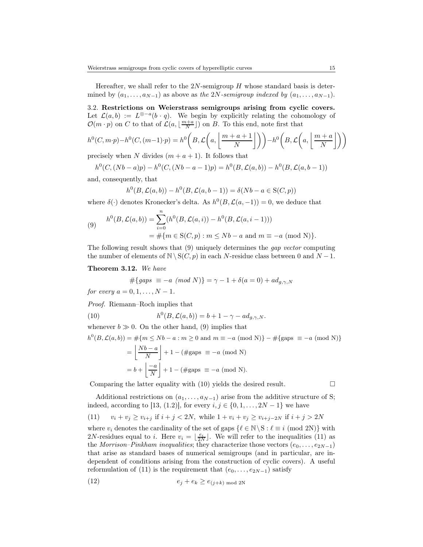Hereafter, we shall refer to the  $2N$ -semigroup  $H$  whose standard basis is determined by  $(a_1, \ldots, a_{N-1})$  as above as the 2N-semigroup indexed by  $(a_1, \ldots, a_{N-1})$ .

<span id="page-14-0"></span>3.2. Restrictions on Weierstrass semigroups arising from cyclic covers. Let  $\mathcal{L}(a, b) := L^{\otimes -a}(b \cdot q)$ . We begin by explicitly relating the cohomology of  $\mathcal{O}(m \cdot p)$  on C to that of  $\mathcal{L}(a, \lfloor \frac{m+a}{N} \rfloor)$  on B. To this end, note first that

$$
h^{0}(C, m \cdot p) - h^{0}(C, (m-1) \cdot p) = h^{0}\left(B, \mathcal{L}\left(a, \left\lfloor \frac{m+a+1}{N} \right\rfloor\right)\right) - h^{0}\left(B, \mathcal{L}\left(a, \left\lfloor \frac{m+a}{N} \right\rfloor\right)\right)
$$

precisely when N divides  $(m + a + 1)$ . It follows that

$$
h^{0}(C,(Nb-a)p) - h^{0}(C,(Nb-a-1)p) = h^{0}(B,\mathcal{L}(a,b)) - h^{0}(B,\mathcal{L}(a,b-1))
$$

and, consequently, that

$$
h^{0}(B, \mathcal{L}(a, b)) - h^{0}(B, \mathcal{L}(a, b-1)) = \delta(Nb - a \in S(C, p))
$$

where  $\delta(\cdot)$  denotes Kronecker's delta. As  $h^0(B, \mathcal{L}(a, -1)) = 0$ , we deduce that

<span id="page-14-2"></span>(9) 
$$
h^{0}(B, \mathcal{L}(a, b)) = \sum_{i=0}^{n} (h^{0}(B, \mathcal{L}(a, i)) - h^{0}(B, \mathcal{L}(a, i - 1)))
$$

$$
= \# \{ m \in S(C, p) : m \leq Nb - a \text{ and } m \equiv -a \pmod{N} \}.
$$

The following result shows that [\(9\)](#page-14-2) uniquely determines the gap vector computing the number of elements of  $\mathbb{N} \setminus \mathbb{S}(C, p)$  in each N-residue class between 0 and  $N - 1$ .

<span id="page-14-1"></span>Theorem 3.12. We have

<span id="page-14-3"></span>
$$
#{gangs \equiv -a \pmod{N}} = \gamma - 1 + \delta(a = 0) + ad_{g,\gamma,N}
$$

for every  $a = 0, 1, ..., N - 1$ .

Proof. Riemann–Roch implies that

(10) 
$$
h^{0}(B, \mathcal{L}(a, b)) = b + 1 - \gamma - ad_{g, \gamma, N}.
$$

whenever  $b \gg 0$ . On the other hand, [\(9\)](#page-14-2) implies that

$$
h^{0}(B, \mathcal{L}(a, b)) = #\{m \le Nb - a : m \ge 0 \text{ and } m \equiv -a \pmod{N}\} - #\{\text{gaps } \equiv -a \pmod{N}\}
$$

$$
= \left\lfloor \frac{Nb - a}{N} \right\rfloor + 1 - (\#\text{gaps } \equiv -a \pmod{N})
$$

$$
= b + \left\lfloor \frac{-a}{N} \right\rfloor + 1 - (\#\text{gaps } \equiv -a \pmod{N}).
$$

Comparing the latter equality with  $(10)$  yields the desired result.  $\Box$ 

Additional restrictions on  $(a_1, \ldots, a_{N-1})$  arise from the additive structure of S; indeed, according to [\[13,](#page-34-6) (1.2)], for every  $i, j \in \{0, 1, ..., 2N - 1\}$  we have

<span id="page-14-4"></span>(11) 
$$
v_i + v_j \ge v_{i+j}
$$
 if  $i + j < 2N$ , while  $1 + v_i + v_j \ge v_{i+j-2N}$  if  $i + j > 2N$ 

where  $v_i$  denotes the cardinality of the set of gaps  $\{\ell \in \mathbb{N} \setminus \mathbb{S} : \ell \equiv i \pmod{2\mathbb{N}}\}$  with 2N-residues equal to *i*. Here  $v_i = \lfloor \frac{e_i}{2N} \rfloor$ . We will refer to the inequalities [\(11\)](#page-14-4) as the Morrison–Pinkham inequalities; they characterize those vectors  $(e_0, \ldots, e_{2N-1})$ that arise as standard bases of numerical semigroups (and in particular, are independent of conditions arising from the construction of cyclic covers). A useful reformulation of [\(11\)](#page-14-4) is the requirement that  $(e_0, \ldots, e_{2N-1})$  satisfy

<span id="page-14-5"></span>
$$
(12) \t\t\t e_j + e_k \ge e_{(j+k) \text{ mod } 2N}
$$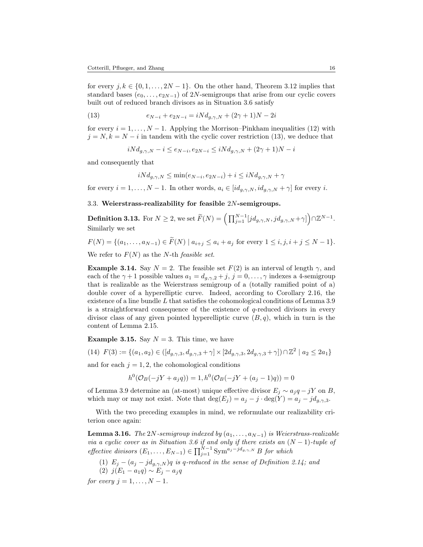for every  $j, k \in \{0, 1, \ldots, 2N-1\}$ . On the other hand, Theorem [3.12](#page-14-1) implies that standard bases  $(e_0, \ldots, e_{2N-1})$  of 2N-semigroups that arise from our cyclic covers built out of reduced branch divisors as in Situation 3.6 satisfy

(13) 
$$
e_{N-i} + e_{2N-i} = iN d_{g,\gamma,N} + (2\gamma + 1)N - 2i
$$

for every  $i = 1, \ldots, N - 1$ . Applying the Morrison–Pinkham inequalities [\(12\)](#page-14-5) with  $j = N, k = N - i$  in tandem with the cyclic cover restriction [\(13\)](#page-15-2), we deduce that

<span id="page-15-2"></span>
$$
iNd_{g,\gamma,N} - i \leq e_{N-i}, e_{2N-i} \leq iNd_{g,\gamma,N} + (2\gamma + 1)N - i
$$

and consequently that

$$
iNd_{g,\gamma,N} \le \min(e_{N-i}, e_{2N-i}) + i \le iNd_{g,\gamma,N} + \gamma
$$

for every  $i = 1, ..., N - 1$ . In other words,  $a_i \in [id_{g,\gamma,N}, id_{g,\gamma,N} + \gamma]$  for every i.

### 3.3. Weierstrass-realizability for feasible 2N-semigroups.

**Definition 3.13.** For  $N \geq 2$ , we set  $\widetilde{F}(N) = \left( \prod_{j=1}^{N-1} [jd_{g,\gamma,N},jd_{g,\gamma,N} + \gamma] \right) \cap \mathbb{Z}^{N-1}$ . Similarly we set

$$
F(N) = \{(a_1, \ldots, a_{N-1}) \in \tilde{F}(N) \mid a_{i+j} \le a_i + a_j \text{ for every } 1 \le i, j, i+j \le N-1\}.
$$

We refer to  $F(N)$  as the N-th *feasible set*.

<span id="page-15-0"></span>**Example 3.14.** Say  $N = 2$ . The feasible set  $F(2)$  is an interval of length  $\gamma$ , and each of the  $\gamma + 1$  possible values  $a_1 = d_{g,\gamma,2} + j$ ,  $j = 0, \ldots, \gamma$  indexes a 4-semigroup that is realizable as the Weierstrass semigroup of a (totally ramified point of a) double cover of a hyperelliptic curve. Indeed, according to Corollary [2.16,](#page-8-2) the existence of a line bundle L that satisfies the cohomological conditions of Lemma [3.9](#page-13-0) is a straightforward consequence of the existence of q-reduced divisors in every divisor class of any given pointed hyperelliptic curve  $(B, q)$ , which in turn is the content of Lemma [2.15.](#page-8-3)

**Example 3.15.** Say  $N = 3$ . This time, we have

<span id="page-15-3"></span>
$$
(14) \ \ F(3) := \{ (a_1, a_2) \in ([d_{g,\gamma,3}, d_{g,\gamma,3} + \gamma] \times [2d_{g,\gamma,3}, 2d_{g,\gamma,3} + \gamma]) \cap \mathbb{Z}^2 \mid a_2 \le 2a_1 \}
$$

and for each  $j = 1, 2$ , the cohomological conditions

$$
h^{0}(\mathcal{O}_{B}(-jY + a_{j}q)) = 1, h^{0}(\mathcal{O}_{B}(-jY + (a_{j} - 1)q)) = 0
$$

of Lemma [3.9](#page-13-0) determine an (at-most) unique effective divisor  $E_j \sim a_j q - jY$  on B, which may or may not exist. Note that  $\deg(E_j) = a_j - j \cdot \deg(Y) = a_j - jd_{g,\gamma,3}$ .

With the two preceding examples in mind, we reformulate our realizability criterion once again:

<span id="page-15-1"></span>**Lemma 3.16.** The 2N-semigroup indexed by  $(a_1, \ldots, a_{N-1})$  is Weierstrass-realizable via a cyclic cover as in Situation 3.6 if and only if there exists an  $(N-1)$ -tuple of effective divisors  $(E_1, \ldots, E_{N-1}) \in \prod_{j=1}^{N-1} \text{Sym}^{a_j - j d_{g,\gamma,N}} B$  for which

(1)  $E_j - (a_j - jd_{g,\gamma,N})q$  is q-reduced in the sense of Definition [2.14;](#page-8-4) and (2)  $j(E_1 - a_1q) \sim E_j - a_jq$ 

for every  $j = 1, \ldots, N - 1$ .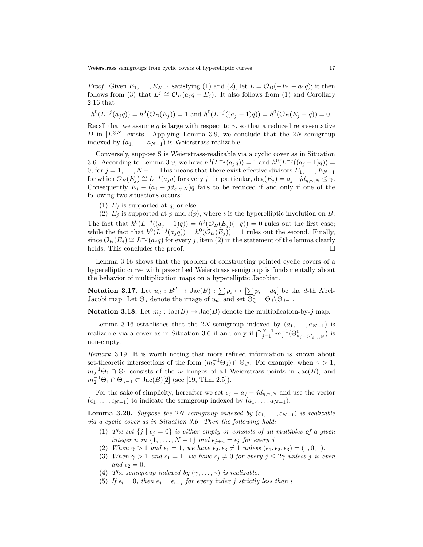*Proof.* Given  $E_1, \ldots, E_{N-1}$  satisfying (1) and (2), let  $L = \mathcal{O}_B(-E_1 + a_1q)$ ; it then follows from (3) that  $L^j \cong \mathcal{O}_B(a_j q - E_j)$ . It also follows from (1) and Corollary [2.16](#page-8-2) that

$$
h^{0}(L^{-j}(a_{j}q)) = h^{0}(\mathcal{O}_{B}(E_{j})) = 1 \text{ and } h^{0}(L^{-j}((a_{j}-1)q)) = h^{0}(\mathcal{O}_{B}(E_{j}-q)) = 0.
$$

Recall that we assume g is large with respect to  $\gamma$ , so that a reduced representative D in  $|L^{\otimes N}|$  exists. Applying Lemma [3.9,](#page-13-0) we conclude that the 2N-semigroup indexed by  $(a_1, \ldots, a_{N-1})$  is Weierstrass-realizable.

Conversely, suppose S is Weierstrass-realizable via a cyclic cover as in Situation 3.6. According to Lemma [3.9,](#page-13-0) we have  $h^0(L^{-j}(a_j q)) = 1$  and  $h^0(L^{-j}((a_j - 1)q)) =$ 0, for  $j = 1, ..., N - 1$ . This means that there exist effective divisors  $E_1, ..., E_{N-1}$ for which  $\mathcal{O}_B(E_j) \cong L^{-j}(a_j q)$  for every j. In particular,  $\deg(E_j) = a_j - jd_{g,\gamma,N} \leq \gamma$ . Consequently  $E_j - (a_j - jd_{g,\gamma,N})q$  fails to be reduced if and only if one of the following two situations occurs:

(1)  $E_j$  is supported at q; or else

(2)  $E_j$  is supported at p and  $\iota(p)$ , where  $\iota$  is the hyperelliptic involution on B. The fact that  $h^0(L^{-j}((a_j-1)q)) = h^0(\mathcal{O}_B(E_j)(-q)) = 0$  rules out the first case; while the fact that  $h^0(L^{-j}(a_j q)) = h^0(\mathcal{O}_B(E_j)) = 1$  rules out the second. Finally, since  $\mathcal{O}_B(E_j) \cong L^{-j}(a_j q)$  for every j, item (2) in the statement of the lemma clearly holds. This concludes the proof.  $\Box$ 

Lemma [3.16](#page-15-1) shows that the problem of constructing pointed cyclic covers of a hyperelliptic curve with prescribed Weierstrass semigroup is fundamentally about the behavior of multiplication maps on a hyperelliptic Jacobian.

Notation 3.17. Let  $u_d : B^d \to \text{Jac}(B) : \sum p_i \mapsto [\sum p_i - dq]$  be the d-th Abel-Jacobi map. Let  $\Theta_d$  denote the image of  $u_d$ , and set  $\Theta_d^0 = \Theta_d \backslash \Theta_{d-1}$ .

**Notation 3.18.** Let  $m_j : \text{Jac}(B) \to \text{Jac}(B)$  denote the multiplication-by-j map.

Lemma [3.16](#page-15-1) establishes that the 2N-semigroup indexed by  $(a_1, \ldots, a_{N-1})$  is realizable via a cover as in Situation 3.6 if and only if  $\bigcap_{j=1}^{N-1} m_j^{-1}(\Theta^0_{a_j-jd_{g,\gamma,N}})$  is non-empty.

Remark 3.19. It is worth noting that more refined information is known about set-theoretic intersections of the form  $(m_2^{-1}\Theta_d) \cap \Theta_{d'}$ . For example, when  $\gamma > 1$ ,  $m_2^{-1}\Theta_1 \cap \Theta_1$  consists of the  $u_1$ -images of all Weierstrass points in Jac(B), and  $m_2^{-1}\Theta_1 \cap \Theta_{\gamma-1} \subset \text{Jac}(B)[2]$  (see [\[19,](#page-34-5) Thm 2.5]).

For the sake of simplicity, hereafter we set  $\epsilon_j = a_j - jd_{g,\gamma,N}$  and use the vector  $(\epsilon_1, \ldots, \epsilon_{N-1})$  to indicate the semigroup indexed by  $(a_1, \ldots, a_{N-1})$ .

<span id="page-16-0"></span>**Lemma 3.20.** Suppose the 2N-semigroup indexed by  $(\epsilon_1, \ldots, \epsilon_{N-1})$  is realizable via a cyclic cover as in Situation 3.6. Then the following hold:

- (1) The set  $\{j \mid \epsilon_j = 0\}$  is either empty or consists of all multiples of a given integer n in  $\{1, \ldots, N-1\}$  and  $\epsilon_{j+n} = \epsilon_j$  for every j.
- (2) When  $\gamma > 1$  and  $\epsilon_1 = 1$ , we have  $\epsilon_2, \epsilon_3 \neq 1$  unless  $(\epsilon_1, \epsilon_2, \epsilon_3) = (1, 0, 1)$ .
- (3) When  $\gamma > 1$  and  $\epsilon_1 = 1$ , we have  $\epsilon_j \neq 0$  for every  $j \leq 2\gamma$  unless j is even and  $\epsilon_2 = 0$ .
- (4) The semigroup indexed by  $(\gamma, \ldots, \gamma)$  is realizable.
- (5) If  $\epsilon_i = 0$ , then  $\epsilon_j = \epsilon_{i-j}$  for every index j strictly less than i.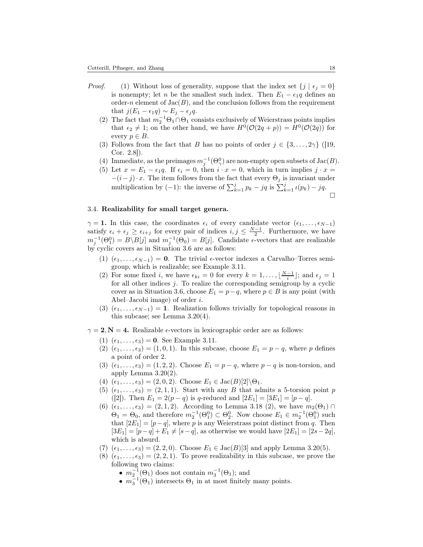- *Proof.* (1) Without loss of generality, suppose that the index set  $\{j \mid \epsilon_j = 0\}$ is nonempty; let *n* be the smallest such index. Then  $E_1 - \epsilon_1 q$  defines an order-n element of  $Jac(B)$ , and the conclusion follows from the requirement that  $j(E_1 - \epsilon_1 q) \sim E_j - \epsilon_j q$ .
	- (2) The fact that  $m_2^{-1}\Theta_1\cap\Theta_1$  consists exclusively of Weierstrass points implies that  $\epsilon_2 \neq 1$ ; on the other hand, we have  $H^0(\mathcal{O}(2q+p)) = H^0(\mathcal{O}(2q))$  for every  $p \in B$ .
	- (3) Follows from the fact that B has no points of order  $j \in \{3, \ldots, 2\gamma\}$  ([\[19,](#page-34-5) Cor. 2.8]).
	- (4) Immediate, as the preimages  $m_j^{-1}(\Theta_\gamma^0)$  are non-empty open subsets of Jac(B).
	- (5) Let  $x = E_1 \epsilon_1 q$ . If  $\epsilon_i = 0$ , then  $i \cdot x = 0$ , which in turn implies  $j \cdot x =$  $-(i-j)\cdot x$ . The item follows from the fact that every  $\Theta_j$  is invariant under multiplication by (-1): the inverse of  $\sum_{k=1}^{j} p_k - jq$  is  $\sum_{k=1}^{j} \iota(p_k) - jq$ .  $\Box$

### <span id="page-17-0"></span>3.4. Realizability for small target genera.

 $\gamma = 1$ . In this case, the coordinates  $\epsilon_i$  of every candidate vector  $(\epsilon_1, \ldots, \epsilon_{N-1})$ satisfy  $\epsilon_i + \epsilon_j \geq \epsilon_{i+j}$  for every pair of indices  $i, j \leq \frac{N-1}{2}$ . Furthermore, we have  $m_j^{-1}(\Theta_1^0) = B\setminus B[j]$  and  $m_j^{-1}(\Theta_0) = B[j]$ . Candidate  $\epsilon$ -vectors that are realizable by cyclic covers as in Situation 3.6 are as follows:

- (1)  $(\epsilon_1, \ldots, \epsilon_{N-1}) = 0$ . The trivial  $\epsilon$ -vector indexes a Carvalho–Torres semigroup, which is realizable; see Example [3.11.](#page-13-1)
- (2) For some fixed i, we have  $\epsilon_{ki} = 0$  for every  $k = 1, ..., \lfloor \frac{N-1}{i} \rfloor$ ; and  $\epsilon_j = 1$ for all other indices  $j$ . To realize the corresponding semigroup by a cyclic cover as in Situation 3.6, choose  $E_1 = p-q$ , where  $p \in B$  is any point (with Abel–Jacobi image) of order  $i$ .
- (3)  $(\epsilon_1, \ldots, \epsilon_{N-1}) = 1$ . Realization follows trivially for topological reasons in this subcase; see Lemma [3.20\(](#page-16-0)4).
- $\gamma = 2$ , N = 4. Realizable  $\epsilon$ -vectors in lexicographic order are as follows:
	- (1)  $(\epsilon_1, ..., \epsilon_3) = 0$ . See Example [3.11.](#page-13-1)
	- (2)  $(\epsilon_1, \ldots, \epsilon_3) = (1, 0, 1)$ . In this subcase, choose  $E_1 = p q$ , where p defines a point of order 2.
	- (3)  $(\epsilon_1, \ldots, \epsilon_3) = (1, 2, 2)$ . Choose  $E_1 = p q$ , where  $p q$  is non-torsion, and apply Lemma  $3.20(2)$ .
	- (4)  $(\epsilon_1, \ldots, \epsilon_3) = (2, 0, 2)$ . Choose  $E_1 \in \text{Jac}(B)[2] \backslash \Theta_1$ .
	- (5)  $(\epsilon_1, \ldots, \epsilon_3) = (2, 1, 1)$ . Start with any B that admits a 5-torsion point p ([\[2\]](#page-34-17)). Then  $E_1 = 2(p - q)$  is q-reduced and  $[2E_1] = [3E_1] = [p - q]$ .
	- (6)  $(\epsilon_1, ..., \epsilon_3) = (2, 1, 2)$ . According to Lemma 3.18 (2), we have  $m_2(\Theta_1) \cap$  $\Theta_1 = \Theta_0$ , and therefore  $m_2^{-1}(\Theta_1^0) \subset \Theta_2^0$ . Now choose  $E_1 \in m_2^{-1}(\Theta_1^0)$  such that  $[2E_1] = [p-q]$ , where p is any Weierstrass point distinct from q. Then  $[3E_1] = [p-q] + E_1 \neq [s-q]$ , as otherwise we would have  $[2E_1] = [2s-2q]$ , which is absurd.
	- (7)  $(\epsilon_1, ..., \epsilon_3) = (2, 2, 0)$ . Choose  $E_1 \in \text{Jac}(B)[3]$  and apply Lemma [3.20\(](#page-16-0)5).
	- (8)  $(\epsilon_1, \ldots, \epsilon_3) = (2, 2, 1)$ . To prove realizability in this subcase, we prove the following two claims:
		- $m_2^{-1}(\Theta_1)$  does not contain  $m_3^{-1}(\Theta_1)$ ; and
		- $m_3^{-1}(\Theta_1)$  intersects  $\Theta_1$  in at most finitely many points.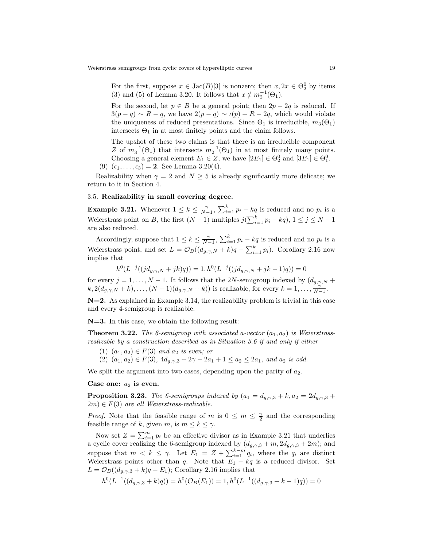For the first, suppose  $x \in \text{Jac}(B)[3]$  is nonzero; then  $x, 2x \in \Theta_2^0$  by items (3) and (5) of Lemma [3.20.](#page-16-0) It follows that  $x \notin m_2^{-1}(\Theta_1)$ .

For the second, let  $p \in B$  be a general point; then  $2p - 2q$  is reduced. If  $3(p-q) \sim R - q$ , we have  $2(p-q) \sim \iota(p) + R - 2q$ , which would violate the uniqueness of reduced presentations. Since  $\Theta_1$  is irreducible,  $m_3(\Theta_1)$ intersects  $\Theta_1$  in at most finitely points and the claim follows.

The upshot of these two claims is that there is an irreducible component Z of  $m_3^{-1}(\Theta_1)$  that intersects  $m_2^{-1}(\Theta_1)$  in at most finitely many points. Choosing a general element  $E_1 \in Z$ , we have  $[2E_1] \in \Theta_2^0$  and  $[3E_1] \in \Theta_1^0$ . (9)  $(\epsilon_1, ..., \epsilon_3) = 2$ . See Lemma [3.20\(](#page-16-0)4).

Realizability when  $\gamma = 2$  and  $N \geq 5$  is already significantly more delicate; we return to it in Section [4.](#page-21-0)

### 3.5. Realizability in small covering degree.

<span id="page-18-1"></span>**Example 3.21.** Whenever  $1 \leq k \leq \frac{\gamma}{N-1}$ ,  $\sum_{i=1}^{k} p_i - kq$  is reduced and no  $p_i$  is a Weierstrass point on B, the first  $(N-1)$  multiples  $j(\sum_{i=1}^{k} p_i - kq)$ ,  $1 \le j \le N-1$ are also reduced.

Accordingly, suppose that  $1 \leq k \leq \frac{\gamma}{N-1}$ ,  $\sum_{i=1}^{k} p_i - kq$  is reduced and no  $p_i$  is a Weierstrass point, and set  $L = \mathcal{O}_B((d_{g,\gamma,N} + k)q - \sum_{i=1}^k p_i)$ . Corollary [2.16](#page-8-2) now implies that

$$
h^{0}(L^{-j}((jd_{g,\gamma,N}+jk)q)) = 1, h^{0}(L^{-j}((jd_{g,\gamma,N}+jk-1)q)) = 0
$$

for every  $j = 1, ..., N - 1$ . It follows that the 2N-semigroup indexed by  $(d_{g,\gamma,N} +$  $k, 2(d_{g,\gamma,N}+k), \ldots, (N-1)(d_{g,\gamma,N}+k))$  is realizable, for every  $k=1,\ldots,\frac{\gamma}{N-1}$ .

 $N=2$ . As explained in Example [3.14,](#page-15-0) the realizability problem is trivial in this case and every 4-semigroup is realizable.

 $N=3$ . In this case, we obtain the following result:

<span id="page-18-0"></span>**Theorem 3.22.** The 6-semigroup with associated a-vector  $(a_1, a_2)$  is Weierstrassrealizable by a construction described as in Situation 3.6 if and only if either

- (1)  $(a_1, a_2) \in F(3)$  and  $a_2$  is even; or
- (2)  $(a_1, a_2) \in F(3)$ ,  $4d_{g,\gamma,3} + 2\gamma 2a_1 + 1 \le a_2 \le 2a_1$ , and  $a_2$  is odd.

We split the argument into two cases, depending upon the parity of  $a_2$ .

Case one:  $a_2$  is even.

**Proposition 3.23.** The 6-semigroups indexed by  $(a_1 = d_{a_1} \gamma a_1 + k_1 a_2 = 2d_{a_1} \gamma a_1 + k_2 a_2 = 2d_{a_2} \gamma a_2 + k_1 a_2 = 2d_{a_1} \gamma a_1 + k_2 a_2 = 2d_{a_1} \gamma a_1 + k_2 a_2 = 2d_{a_2} \gamma a_2 + k_1 a_2 = 2d_{a_1} \gamma a_2 + k_2 a_2 = 2d_{a_1} \gamma a_2 + k_2 a_2 = 2$  $2m \in F(3)$  are all Weierstrass-realizable.

*Proof.* Note that the feasible range of m is  $0 \le m \le \frac{\gamma}{2}$  $\frac{\gamma}{2}$  and the corresponding feasible range of k, given m, is  $m \leq k \leq \gamma$ .

Now set  $Z = \sum_{i=1}^{m} p_i$  be an effective divisor as in Example [3.21](#page-18-1) that underlies a cyclic cover realizing the 6-semigroup indexed by  $(d_{g,\gamma,3} + m, 2d_{g,\gamma,3} + 2m)$ ; and suppose that  $m < k \leq \gamma$ . Let  $E_1 = Z + \sum_{i=1}^{k-m} q_i$ , where the  $q_i$  are distinct Weierstrass points other than q. Note that  $E_1 - kq$  is a reduced divisor. Set  $L = \mathcal{O}_B((d_{g,\gamma,3} + k)q - E_1)$ ; Corollary [2.16](#page-8-2) implies that

$$
h^{0}(L^{-1}((d_{g,\gamma,3}+k)q)) = h^{0}(\mathcal{O}_{B}(E_1)) = 1, h^{0}(L^{-1}((d_{g,\gamma,3}+k-1)q)) = 0
$$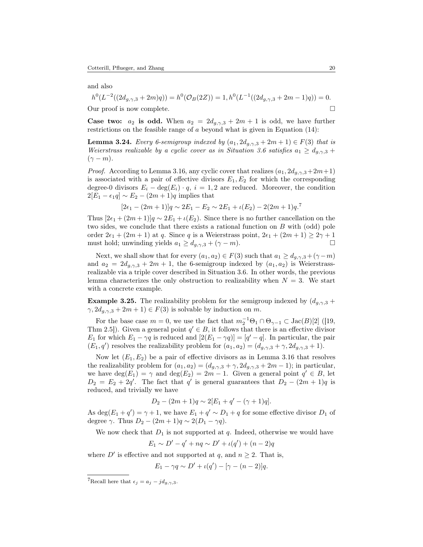and also

$$
h^{0}(L^{-2}((2d_{g,\gamma,3}+2m)q)) = h^{0}(\mathcal{O}_{B}(2Z)) = 1, h^{0}(L^{-1}((2d_{g,\gamma,3}+2m-1)q)) = 0.
$$
  
Our proof is now complete.

**Case two:**  $a_2$  is odd. When  $a_2 = 2d_{g,\gamma,3} + 2m + 1$  is odd, we have further restrictions on the feasible range of a beyond what is given in Equation [\(14\)](#page-15-3):

**Lemma 3.24.** Every 6-semigroup indexed by  $(a_1, 2d_{g,\gamma,3} + 2m + 1) \in F(3)$  that is Weierstrass realizable by a cyclic cover as in Situation 3.6 satisfies  $a_1 \geq d_{q,\gamma,3}$  +  $(\gamma - m).$ 

*Proof.* According to Lemma [3.16,](#page-15-1) any cyclic cover that realizes  $(a_1, 2d_{q,\gamma,3}+2m+1)$ is associated with a pair of effective divisors  $E_1, E_2$  for which the corresponding degree-0 divisors  $E_i - \deg(E_i) \cdot q$ ,  $i = 1, 2$  are reduced. Moreover, the condition  $2[E_1 - \epsilon_1 q] \sim E_2 - (2m+1)q$  implies that

$$
[2\epsilon_1 - (2m+1)]q \sim 2E_1 - E_2 \sim 2E_1 + \iota(E_2) - 2(2m+1)q^{7}
$$

Thus  $[2\epsilon_1 + (2m+1)]q \sim 2E_1 + \iota(E_2)$ . Since there is no further cancellation on the two sides, we conclude that there exists a rational function on B with (odd) pole order  $2\epsilon_1 + (2m + 1)$  at q. Since q is a Weierstrass point,  $2\epsilon_1 + (2m + 1) \geq 2\gamma + 1$ <br>must hold: unwinding yields  $a_1 \geq d_{n+2} + (\gamma - m)$ must hold; unwinding yields  $a_1 \geq d_{g,\gamma,3} + (\gamma - m)$ .

Next, we shall show that for every  $(a_1, a_2) \in F(3)$  such that  $a_1 \geq d_{g,\gamma,3} + (\gamma - m)$ and  $a_2 = 2d_{g,\gamma,3} + 2m + 1$ , the 6-semigroup indexed by  $(a_1, a_2)$  is Weierstrassrealizable via a triple cover described in Situation 3.6. In other words, the previous lemma characterizes the only obstruction to realizability when  $N = 3$ . We start with a concrete example.

<span id="page-19-0"></span>**Example 3.25.** The realizability problem for the semigroup indexed by  $(d_{g,\gamma,3} +$  $\gamma$ ,  $2d_{g,\gamma,3}$  +  $2m+1$ )  $\in$   $F(3)$  is solvable by induction on m.

For the base case  $m = 0$ , we use the fact that  $m_2^{-1}\Theta_1 \cap \Theta_{\gamma-1} \subset \text{Jac}(B)[2]$  ([\[19,](#page-34-5) Thm 2.5]). Given a general point  $q' \in B$ , it follows that there is an effective divisor  $E_1$  for which  $E_1 - \gamma q$  is reduced and  $[2(E_1 - \gamma q)] = [q' - q]$ . In particular, the pair  $(E_1, q')$  resolves the realizability problem for  $(a_1, a_2) = (d_{g,\gamma,3} + \gamma, 2d_{g,\gamma,3} + 1)$ .

Now let  $(E_1, E_2)$  be a pair of effective divisors as in Lemma [3.16](#page-15-1) that resolves the realizability problem for  $(a_1, a_2) = (d_{g,\gamma,3} + \gamma, 2d_{g,\gamma,3} + 2m - 1)$ ; in particular, we have  $deg(E_1) = \gamma$  and  $deg(E_2) = 2m - 1$ . Given a general point  $q' \in B$ , let  $D_2 = E_2 + 2q'$ . The fact that q' is general guarantees that  $D_2 - (2m + 1)q$  is reduced, and trivially we have

$$
D_2 - (2m+1)q \sim 2[E_1 + q' - (\gamma + 1)q].
$$

As  $\deg(E_1 + q') = \gamma + 1$ , we have  $E_1 + q' \sim D_1 + q$  for some effective divisor  $D_1$  of degree  $\gamma$ . Thus  $D_2 - (2m+1)q \sim 2(D_1 - \gamma q)$ .

We now check that  $D_1$  is not supported at  $q$ . Indeed, otherwise we would have

$$
E_1 \sim D' - q' + nq \sim D' + \iota(q') + (n-2)q
$$

where  $D'$  is effective and not supported at q, and  $n \geq 2$ . That is,

$$
E_1 - \gamma q \sim D' + \iota(q') - [\gamma - (n-2)]q.
$$

<sup>&</sup>lt;sup>7</sup>Recall here that  $\epsilon_j = a_j - j d_{q,\gamma,3}$ .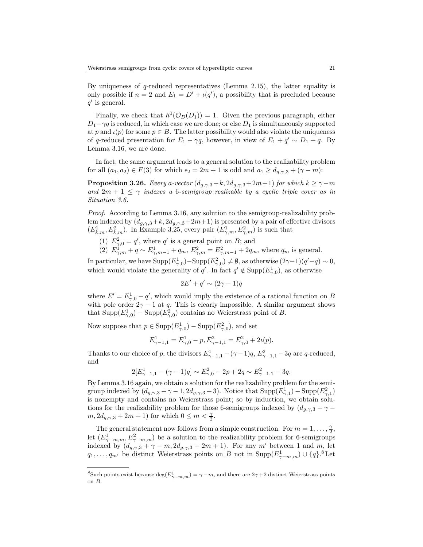By uniqueness of q-reduced representatives (Lemma [2.15\)](#page-8-3), the latter equality is only possible if  $n = 2$  and  $E_1 = D' + \iota(q')$ , a possibility that is precluded because  $q'$  is general.

Finally, we check that  $h^0(\mathcal{O}_B(D_1)) = 1$ . Given the previous paragraph, either  $D_1-\gamma q$  is reduced, in which case we are done; or else  $D_1$  is simultaneously supported at p and  $\iota(p)$  for some  $p \in B$ . The latter possibility would also violate the uniqueness of q-reduced presentation for  $E_1 - \gamma q$ , however, in view of  $E_1 + q' \sim D_1 + q$ . By Lemma [3.16,](#page-15-1) we are done.

In fact, the same argument leads to a general solution to the realizability problem for all  $(a_1, a_2) \in F(3)$  for which  $\epsilon_2 = 2m + 1$  is odd and  $a_1 \geq d_{g,\gamma,3} + (\gamma - m)$ :

**Proposition 3.26.** Every a-vector  $(d_{q,\gamma,3}+k, 2d_{q,\gamma,3}+2m+1)$  for which  $k \ge \gamma-m$ and  $2m + 1 \leq \gamma$  indexes a 6-semigroup realizable by a cyclic triple cover as in Situation 3.6.

Proof. According to Lemma [3.16,](#page-15-1) any solution to the semigroup-realizability problem indexed by  $(d_{g,\gamma,3}+k, 2d_{g,\gamma,3}+2m+1)$  is presented by a pair of effective divisors  $(E_{k,m}^1, E_{k,m}^2)$ . In Example [3.25,](#page-19-0) every pair  $(E_{\gamma,m}^1, E_{\gamma,m}^2)$  is such that

- (1)  $E_{\gamma,0}^2 = q'$ , where q' is a general point on B; and
- (2)  $E^1_{\gamma,m} + q \sim E^1_{\gamma,m-1} + q_m$ ,  $E^2_{\gamma,m} = E^2_{\gamma,m-1} + 2q_m$ , where  $q_m$  is general.

In particular, we have  $\text{Supp}(E_{\gamma,0}^1) - \text{Supp}(E_{\gamma,0}^2) \neq \emptyset$ , as otherwise  $(2\gamma-1)(q'-q) \sim 0$ , which would violate the generality of  $q'$ . In fact  $q' \notin \text{Supp}(E^1_{\gamma,0})$ , as otherwise

$$
2E' + q' \sim (2\gamma - 1)q
$$

where  $E' = E_{\gamma,0}^1 - q'$ , which would imply the existence of a rational function on B with pole order  $2\gamma - 1$  at q. This is clearly impossible. A similar argument shows that  $\text{Supp}(E^1_{\gamma,0}) - \text{Supp}(E^2_{\gamma,0})$  contains no Weierstrass point of B.

Now suppose that  $p \in \text{Supp}(E^1_{\gamma,0}) - \text{Supp}(E^2_{\gamma,0})$ , and set

$$
E_{\gamma-1,1}^1 = E_{\gamma,0}^1 - p, E_{\gamma-1,1}^2 = E_{\gamma,0}^2 + 2\iota(p).
$$

Thanks to our choice of p, the divisors  $E_{\gamma-1,1}^1 - (\gamma - 1)q$ ,  $E_{\gamma-1,1}^2 - 3q$  are q-reduced, and

$$
2[E_{\gamma-1,1}^1 - (\gamma - 1)q] \sim E_{\gamma,0}^2 - 2p + 2q \sim E_{\gamma-1,1}^2 - 3q.
$$

By Lemma [3.16](#page-15-1) again, we obtain a solution for the realizability problem for the semigroup indexed by  $(d_{g,\gamma,3} + \gamma - 1, 2d_{g,\gamma,3} + 3)$ . Notice that  $\text{Supp}(E^1_{\gamma,1}) - \text{Supp}(E^2_{\gamma,1})$ is nonempty and contains no Weierstrass point; so by induction, we obtain solutions for the realizability problem for those 6-semigroups indexed by  $(d_{q,\gamma,3} + \gamma$  $m, 2d_{g,\gamma,3} + 2m + 1$ ) for which  $0 \leq m < \frac{\gamma}{2}$ .

The general statement now follows from a simple construction. For  $m = 1, \ldots, \frac{2}{3}$  $\frac{\gamma}{2},$ let  $(E^1_{\gamma-m,m}, E^2_{\gamma-m,m})$  be a solution to the realizability problem for 6-semigroups indexed by  $(d_{g,\gamma,3} + \gamma - m, 2d_{g,\gamma,3} + 2m + 1)$ . For any m' between 1 and m, let  $q_1, \ldots, q_{m'}$  be distinct Weierstrass points on B not in Supp $(E^1_{\gamma-m,m}) \cup \{q\}$ .<sup>8</sup> Let

<sup>&</sup>lt;sup>8</sup>Such points exist because  $\deg(E_{\gamma-m,m}^1) = \gamma - m$ , and there are  $2\gamma + 2$  distinct Weierstrass points on B.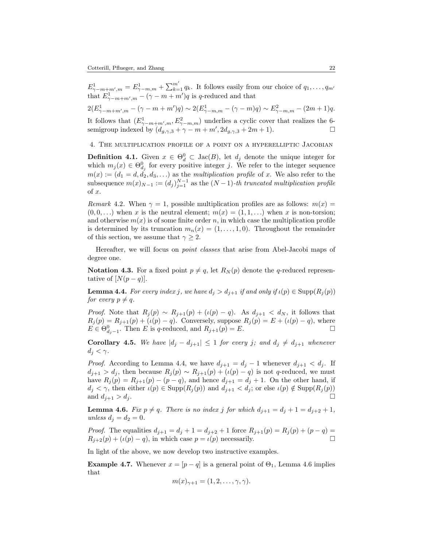$E^1_{\gamma-m+m',m} = E^1_{\gamma-m,m} + \sum_{k=1}^{m'} q_k$ . It follows easily from our choice of  $q_1, \ldots, q_{m'}$ that  $E^1_{\gamma-m+m',m} - (\gamma - m + m')q$  is q-reduced and that

 $2(E_{\gamma-m+m',m}^1-(\gamma-m+m')q) \sim 2(E_{\gamma-m,m}^1-(\gamma-m)q) \sim E_{\gamma-m,m}^2-(2m+1)q.$ 

It follows that  $(E^1_{\gamma-m+m',m}, E^2_{\gamma-m,m})$  underlies a cyclic cover that realizes the 6semigroup indexed by  $(d_{g,\gamma,3} + \gamma - m + m', 2d_{g,\gamma,3} + 2m + 1)$ .

<span id="page-21-0"></span>4. The multiplication profile of a point on a hyperelliptic Jacobian

**Definition 4.1.** Given  $x \in \Theta_d^0 \subset \text{Jac}(B)$ , let  $d_j$  denote the unique integer for which  $m_j(x) \in \Theta_{d_j}^0$  for every positive integer j. We refer to the integer sequence  $m(x) := (d_1 = d, d_2, d_3, \ldots)$  as the multiplication profile of x. We also refer to the subsequence  $m(x)_{N-1} := (d_j)_{j=1}^{N-1}$  as the  $(N-1)$ -th truncated multiplication profile  $of x.$ 

Remark 4.2. When  $\gamma = 1$ , possible multiplication profiles are as follows:  $m(x) =$  $(0, 0, \ldots)$  when x is the neutral element;  $m(x) = (1, 1, \ldots)$  when x is non-torsion; and otherwise  $m(x)$  is of some finite order n, in which case the multiplication profile is determined by its truncation  $m_n(x) = (1, \ldots, 1, 0)$ . Throughout the remainder of this section, we assume that  $\gamma \geq 2$ .

Hereafter, we will focus on point classes that arise from Abel-Jacobi maps of degree one.

**Notation 4.3.** For a fixed point  $p \neq q$ , let  $R_N(p)$  denote the q-reduced representative of  $[N(p-q)].$ 

<span id="page-21-1"></span>**Lemma 4.4.** For every index j, we have  $d_j > d_{j+1}$  if and only if  $\iota(p) \in \text{Supp}(R_j(p))$ for every  $p \neq q$ .

*Proof.* Note that  $R_j(p) \sim R_{j+1}(p) + (\iota(p) - q)$ . As  $d_{j+1} < d_N$ , it follows that  $R_j(p) = R_{j+1}(p) + (\iota(p) - q)$ . Conversely, suppose  $R_j(p) = E + (\iota(p) - q)$ , where  $E \in \Theta^0$ , Then E is g-reduced, and  $R_{j+1}(p) = E$ .  $E \in \Theta_{d_j-1}^0$ . Then E is q-reduced, and  $R_{j+1}(p) = E$ .

<span id="page-21-2"></span>Corollary 4.5. We have  $|d_j - d_{j+1}| \leq 1$  for every j; and  $d_j \neq d_{j+1}$  whenever  $d_j < \gamma$ .

*Proof.* According to Lemma [4.4,](#page-21-1) we have  $d_{j+1} = d_j - 1$  whenever  $d_{j+1} < d_j$ . If  $d_{j+1} > d_j$ , then because  $R_j(p) \sim R_{j+1}(p) + (\iota(p) - q)$  is not q-reduced, we must have  $R_j(p) = R_{j+1}(p) - (p - q)$ , and hence  $d_{j+1} = d_j + 1$ . On the other hand, if  $d_j < \gamma$ , then either  $\iota(p) \in \text{Supp}(R_j(p))$  and  $d_{j+1} < d_j$ ; or else  $\iota(p) \notin \text{Supp}(R_j(p))$ <br>and  $d_{j+1} > d_j$ . and  $d_{j+1} > d_j$ .

<span id="page-21-3"></span>**Lemma 4.6.** Fix  $p \neq q$ . There is no index j for which  $d_{j+1} = d_j + 1 = d_{j+2} + 1$ , unless  $d_j = d_2 = 0$ .

*Proof.* The equalities  $d_{j+1} = d_j + 1 = d_{j+2} + 1$  force  $R_{j+1}(p) = R_j(p) + (p - q) = R_{j+1}(p) + (p - q)$  in which case  $p = t(p)$  necessarily  $R_{j+2}(p) + (\iota(p) - q)$ , in which case  $p = \iota(p)$  necessarily.

In light of the above, we now develop two instructive examples.

<span id="page-21-4"></span>**Example 4.7.** Whenever  $x = [p - q]$  is a general point of  $\Theta_1$ , Lemma [4.6](#page-21-3) implies that

$$
m(x)_{\gamma+1} = (1, 2, \ldots, \gamma, \gamma).
$$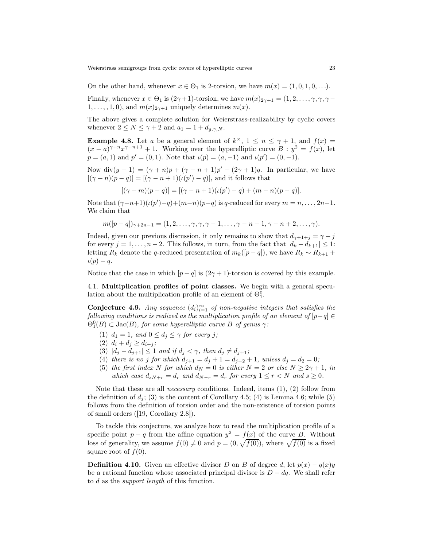On the other hand, whenever  $x \in \Theta_1$  is 2-torsion, we have  $m(x) = (1, 0, 1, 0, \ldots)$ .

Finally, whenever  $x \in \Theta_1$  is  $(2\gamma+1)$ -torsion, we have  $m(x)_{2\gamma+1} = (1, 2, \ldots, \gamma, \gamma, \gamma 1, \ldots, 1, 0$ , and  $m(x)_{2\gamma+1}$  uniquely determines  $m(x)$ .

The above gives a complete solution for Weierstrass-realizability by cyclic covers whenever  $2 \leq N \leq \gamma + 2$  and  $a_1 = 1 + d_{q,\gamma,N}$ .

**Example 4.8.** Let a be a general element of  $k^{\times}$ ,  $1 \le n \le \gamma + 1$ , and  $f(x) =$  $(x-a)^{\gamma+n}x^{\gamma-n+1}+1$ . Working over the hyperelliptic curve  $B: y^2 = f(x)$ , let  $p = (a, 1)$  and  $p' = (0, 1)$ . Note that  $\iota(p) = (a, -1)$  and  $\iota(p') = (0, -1)$ .

Now div $(y-1) = (\gamma + n)p + (\gamma - n + 1)p' - (2\gamma + 1)q$ . In particular, we have  $[(\gamma + n)(p - q)] = [(\gamma - n + 1)(\iota(p') - q)]$ , and it follows that

 $[(\gamma + m)(p - q)] = [(\gamma - n + 1)(\iota(p') - q) + (m - n)(p - q)].$ 

Note that  $(\gamma - n+1)(\iota(p')-q)+(m-n)(p-q)$  is q-reduced for every  $m = n, \ldots, 2n-1$ . We claim that

$$
m([p - q])_{\gamma + 2n - 1} = (1, 2, \dots, \gamma, \gamma, \gamma - 1, \dots, \gamma - n + 1, \gamma - n + 2, \dots, \gamma).
$$

Indeed, given our previous discussion, it only remains to show that  $d_{\gamma+1+i} = \gamma - j$ for every  $j = 1, \ldots, n-2$ . This follows, in turn, from the fact that  $|d_k - d_{k+1}| \leq 1$ : letting  $R_k$  denote the q-reduced presentation of  $m_k([p-q])$ , we have  $R_k \sim R_{k+1}$  +  $\iota(p)-q.$ 

Notice that the case in which  $[p - q]$  is  $(2\gamma + 1)$ -torsion is covered by this example.

4.1. Multiplication profiles of point classes. We begin with a general speculation about the multiplication profile of an element of  $\Theta_1^0$ .

<span id="page-22-0"></span>**Conjecture 4.9.** Any sequence  $(d_i)_{i=1}^{\infty}$  of non-negative integers that satisfies the following conditions is realized as the multiplication profile of an element of  $[p-q] \in$  $\Theta_1^0(B) \subset \text{Jac}(B)$ , for some hyperelliptic curve B of genus  $\gamma$ :

- (1)  $d_1 = 1$ , and  $0 \leq d_i \leq \gamma$  for every j;
- (2)  $d_i + d_j \geq d_{i+j}$ ;
- (3)  $|d_j d_{j+1}| \leq 1$  and if  $d_j < \gamma$ , then  $d_j \neq d_{j+1}$ ;
- (4) there is no j for which  $d_{j+1} = d_j + 1 = d_{j+2} + 1$ , unless  $d_j = d_2 = 0$ ;
- (5) the first index N for which  $d_N = 0$  is either  $N = 2$  or else  $N \geq 2\gamma + 1$ , in which case  $d_{sN+r} = d_r$  and  $d_{N-r} = d_r$  for every  $1 \leq r < N$  and  $s \geq 0$ .

Note that these are all *necessary* conditions. Indeed, items  $(1)$ ,  $(2)$  follow from the definition of  $d_i$ ; (3) is the content of Corollary [4.5;](#page-21-2) (4) is Lemma [4.6;](#page-21-3) while (5) follows from the definition of torsion order and the non-existence of torsion points of small orders ([\[19,](#page-34-5) Corollary 2.8]).

To tackle this conjecture, we analyze how to read the multiplication profile of a specific point  $p - q$  from the affine equation  $y^2 = f(x)$  of the curve B. Without loss of generality, we assume  $f(0) \neq 0$  and  $p = (0, \sqrt{f(0)})$ , where  $\sqrt{f(0)}$  is a fixed square root of  $f(0)$ .

**Definition 4.10.** Given an effective divisor D on B of degree d, let  $p(x) - q(x)y$ be a rational function whose associated principal divisor is  $D - dq$ . We shall refer to d as the support length of this function.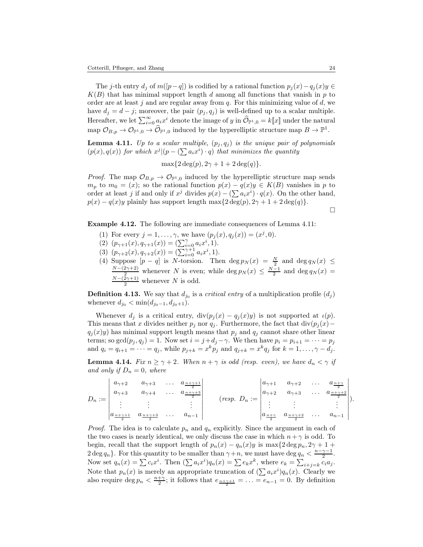The j-th entry  $d_j$  of  $m([p-q])$  is codified by a rational function  $p_j(x)-q_j(x)y \in$  $K(B)$  that has minimal support length d among all functions that vanish in p to order are at least j and are regular away from  $q$ . For this minimizing value of  $d$ , we have  $d_j = d - j$ ; moreover, the pair  $(p_j, q_j)$  is well-defined up to a scalar multiple. Hereafter, we let  $\sum_{i=0}^{\infty} a_i x^i$  denote the image of y in  $\widehat{\mathcal{O}}_{\mathbb{P}^1,0} = k[\![x]\!]$  under the natural map  $\mathcal{O}_{B,p} \to \mathcal{O}_{\mathbb{P}^1,0} \to \widehat{\mathcal{O}}_{\mathbb{P}^1,0}$  induced by the hyperelliptic structure map  $B \to \mathbb{P}^1$ .

<span id="page-23-0"></span>**Lemma 4.11.** Up to a scalar multiple,  $(p_j, q_j)$  is the unique pair of polynomials  $(p(x), q(x))$  for which  $x^{j} | (p - (\sum a_i x^i) \cdot q)$  that minimizes the quantity

$$
\max\{2\deg(p), 2\gamma + 1 + 2\deg(q)\}.
$$

*Proof.* The map  $\mathcal{O}_{B,p} \to \mathcal{O}_{\mathbb{P}^1,0}$  induced by the hyperelliptic structure map sends  $m_p$  to  $m_0 = (x)$ ; so the rational function  $p(x) - q(x)y \in K(B)$  vanishes in p to order at least j if and only if  $x^j$  divides  $p(x) - (\sum a_i x^i) \cdot q(x)$ . On the other hand,  $p(x) - q(x)y$  plainly has support length max $\{2 \deg(p), 2\gamma + 1 + 2 \deg(q)\}.$ 

 $\Box$ 

Example 4.12. The following are immediate consequences of Lemma [4.11:](#page-23-0)

- (1) For every  $j = 1, ..., \gamma$ , we have  $(p_j(x), q_j(x)) = (x^j, 0)$ .
- (2)  $(p_{\gamma+1}(x), q_{\gamma+1}(x)) = (\sum_{i=0}^{\gamma} a_i x^i, 1).$
- (3)  $(p_{\gamma+2}(x), q_{\gamma+2}(x)) = (\sum_{i=0}^{\gamma+1} a_i x^i, 1).$
- (4) Suppose  $[p q]$  is N-torsion. Then  $\deg p_N(x) = \frac{N}{2}$  and  $\deg q_N(x) \le \frac{N-(2\gamma+2)}{2}$  whenever N is even; while  $\deg p_N(x) \le \frac{N-1}{2}$  and  $\deg q_N(x) =$  $\frac{N-(2\gamma+1)}{2}$  whenever N is odd.

**Definition 4.13.** We say that  $d_{j_0}$  is a *critical entry* of a multiplication profile  $(d_j)$ whenever  $d_{j_0} < \min(d_{j_0-1}, d_{j_0+1}).$ 

Whenever  $d_j$  is a critical entry,  $div(p_j(x) - q_j(x)y)$  is not supported at  $\iota(p)$ . This means that x divides neither  $p_i$  nor  $q_i$ . Furthermore, the fact that div $(p_i(x)$ −  $q_j(x)y$  has minimal support length means that  $p_j$  and  $q_j$  cannot share other linear terms; so gcd $(p_j, q_j) = 1$ . Now set  $i = j + d_j - \gamma$ . We then have  $p_i = p_{i+1} = \cdots = p_j$ and  $q_i = q_{i+1} = \cdots = q_j$ , while  $p_{j+k} = x^k p_j$  and  $q_{j+k} = x^k q_j$  for  $k = 1, \ldots, \gamma - d_j$ .

<span id="page-23-1"></span>**Lemma 4.14.** Fix  $n \ge \gamma + 2$ . When  $n + \gamma$  is odd (resp. even), we have  $d_n < \gamma$  if and only if  $D_n = 0$ , where

$$
D_n := \begin{vmatrix} a_{\gamma+2} & a_{\gamma+3} & \cdots & a_{\frac{n+\gamma+1}{2}} \\ a_{\gamma+3} & a_{\gamma+4} & \cdots & a_{\frac{n+\gamma+3}{2}} \\ \vdots & \vdots & & \vdots \\ a_{\frac{n+\gamma+1}{2}} & a_{\frac{n+\gamma+3}{2}} & \cdots & a_{n-1} \end{vmatrix} \qquad (resp. \ D_n := \begin{vmatrix} a_{\gamma+1} & a_{\gamma+2} & \cdots & a_{\frac{n+\gamma}{2}} \\ a_{\gamma+2} & a_{\gamma+3} & \cdots & a_{\frac{n+\gamma+2}{2}} \\ \vdots & \vdots & & \vdots \\ a_{\frac{n+\gamma}{2}} & a_{\frac{n+\gamma+2}{2}} & \cdots & a_{n-1} \end{vmatrix}.
$$

*Proof.* The idea is to calculate  $p_n$  and  $q_n$  explicitly. Since the argument in each of the two cases is nearly identical, we only discuss the case in which  $n + \gamma$  is odd. To begin, recall that the support length of  $p_n(x) - q_n(x)y$  is  $\max\{2\deg p_n, 2\gamma + 1 +$  $2 \deg q_n$ . For this quantity to be smaller than  $\gamma + n$ , we must have  $\deg q_n < \frac{n-\gamma-1}{2}$ . Now set  $q_n(x) = \sum c_i x^i$ . Then  $(\sum a_i x^i) q_n(x) = \sum e_k x^k$ , where  $e_k = \sum_{i+j=k} c_i a_j$ . Note that  $p_n(x)$  is merely an appropriate truncation of  $(\sum a_i x^i)q_n(x)$ . Clearly we also require deg  $p_n < \frac{n+\gamma}{2}$ ; it follows that  $e_{\frac{n+\gamma+1}{2}} = \ldots = e_{n-1} = 0$ . By definition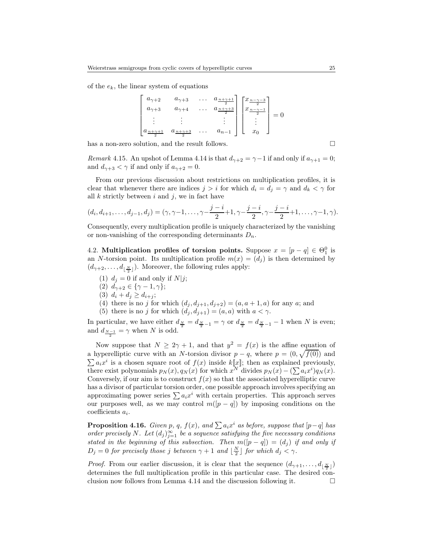of the  $e_k$ , the linear system of equations

$$
\begin{bmatrix} a_{\gamma+2} & a_{\gamma+3} & \dots & a_{\frac{n+\gamma+1}{2}} \\ a_{\gamma+3} & a_{\gamma+4} & \dots & a_{\frac{n+\gamma+3}{2}} \\ \vdots & \vdots & & \vdots \\ a_{\frac{n+\gamma+1}{2}} & a_{\frac{n+\gamma+3}{2}} & \dots & a_{n-1} \end{bmatrix} \begin{bmatrix} x_{\frac{n-\gamma-3}{2}} \\ x_{\frac{n-\gamma-1}{2}} \\ \vdots \\ x_0 \end{bmatrix} = 0
$$

has a non-zero solution, and the result follows.  $\Box$ 

*Remark* 4.15. An upshot of Lemma [4.14](#page-23-1) is that  $d_{\gamma+2} = \gamma - 1$  if and only if  $a_{\gamma+1} = 0$ ; and  $d_{\gamma+3} < \gamma$  if and only if  $a_{\gamma+2} = 0$ .

From our previous discussion about restrictions on multiplication profiles, it is clear that whenever there are indices  $j > i$  for which  $d_i = d_j = \gamma$  and  $d_k < \gamma$  for all  $k$  strictly between  $i$  and  $j$ , we in fact have

$$
(d_i, d_{i+1}, \ldots, d_{j-1}, d_j) = (\gamma, \gamma - 1, \ldots, \gamma - \frac{j-i}{2} + 1, \gamma - \frac{j-i}{2}, \gamma - \frac{j-i}{2} + 1, \ldots, \gamma - 1, \gamma).
$$

Consequently, every multiplication profile is uniquely characterized by the vanishing or non-vanishing of the corresponding determinants  $D_n$ .

<span id="page-24-0"></span>4.2. Multiplication profiles of torsion points. Suppose  $x = [p - q] \in \Theta_1^0$  is an N-torsion point. Its multiplication profile  $m(x) = (d_i)$  is then determined by  $(d_{\gamma+2},...,d_{\lfloor \frac{N}{2}\rfloor})$ . Moreover, the following rules apply:

- (1)  $d_j = 0$  if and only if  $N|j$ ;
- (2)  $d_{\gamma+2} \in {\gamma 1, \gamma};$
- (3)  $d_i + d_j \geq d_{i+j}$ ;
- (4) there is no j for which  $(d_j, d_{j+1}, d_{j+2}) = (a, a+1, a)$  for any a; and
- (5) there is no j for which  $(d_j, d_{j+1}) = (a, a)$  with  $a < \gamma$ .

In particular, we have either  $d_{\frac{N}{2}} = d_{\frac{N}{2}-1} = \gamma$  or  $d_{\frac{N}{2}} = d_{\frac{N}{2}-1} - 1$  when N is even; and  $d_{\frac{N-1}{2}} = \gamma$  when N is odd.

Now suppose that  $N \geq 2\gamma + 1$ , and that  $y^2 = f(x)$  is the affine equation of a hyperelliptic curve with an N-torsion divisor  $p - q$ , where  $p = (0, \sqrt{f(0)})$  and  $\sum a_i x^i$  is a chosen square root of  $f(x)$  inside  $k[[x]]$ ; then as explained previously, there exist polynomials  $p_N(x)$ ,  $q_N(x)$  for which  $x^N$  divides  $p_N(x) - (\sum a_i x^i) q_N(x)$ . Conversely, if our aim is to construct  $f(x)$  so that the associated hyperelliptic curve has a divisor of particular torsion order, one possible approach involves specifying an approximating power series  $\sum a_i x^i$  with certain properties. This approach serves our purposes well, as we may control  $m([p - q])$  by imposing conditions on the  $\text{coefficients } a_i.$ 

<span id="page-24-1"></span>**Proposition 4.16.** Given p, q,  $f(x)$ , and  $\sum a_i x^i$  as before, suppose that  $[p-q]$  has order precisely N. Let  $(d_j)_{j=1}^{\infty}$  be a sequence satisfying the five necessary conditions stated in the beginning of this subsection. Then  $m([p - q]) = (d_j)$  if and only if  $D_j = 0$  for precisely those j between  $\gamma + 1$  and  $\lfloor \frac{N}{2} \rfloor$  for which  $d_j < \gamma$ .

*Proof.* From our earlier discussion, it is clear that the sequence  $(d_{\gamma+1},...,d_{\lfloor \frac{N}{2}\rfloor})$ determines the full multiplication profile in this particular case. The desired con-clusion now follows from Lemma [4.14](#page-23-1) and the discussion following it.  $\Box$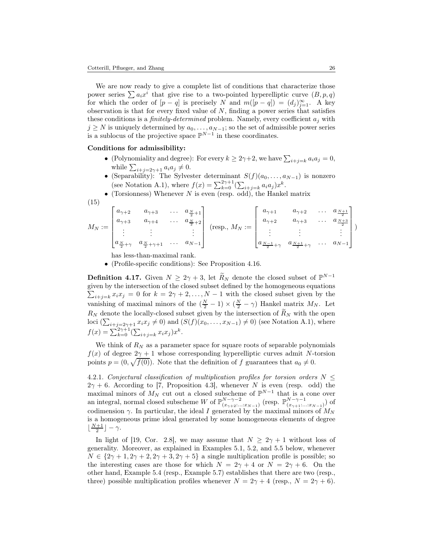We are now ready to give a complete list of conditions that characterize those power series  $\sum a_i x^i$  that give rise to a two-pointed hyperelliptic curve  $(B, p, q)$ for which the order of  $[p - q]$  is precisely N and  $m([p - q]) = (d_j)_{j=1}^{\infty}$ . A key observation is that for every fixed value of  $N$ , finding a power series that satisfies these conditions is a *finitely-determined* problem. Namely, every coefficient  $a_i$  with  $j \geq N$  is uniquely determined by  $a_0, \ldots, a_{N-1}$ ; so the set of admissible power series is a sublocus of the projective space  $\mathbb{P}^{N-1}$  in these coordinates.

## Conditions for admissibility:

- (Polynomiality and degree): For every  $k \geq 2\gamma+2$ , we have  $\sum_{i+j=k} a_i a_j = 0$ , while  $\sum_{i+j=2\gamma+1} a_i a_j \neq 0$ .
- (Separability): The Sylvester determinant  $S(f)(a_0, \ldots, a_{N-1})$  is nonzero (see Notation [A.1\)](#page-30-0), where  $f(x) = \sum_{k=0}^{2\gamma+1} (\sum_{i+j=k} a_i a_j) x^k$ .
- (Torsionness) Whenever  $N$  is even (resp. odd), the Hankel matrix

(15)

<span id="page-25-0"></span>
$$
M_N := \begin{bmatrix} a_{\gamma+2} & a_{\gamma+3} & \dots & a_{\frac{N}{2}+1} \\ a_{\gamma+3} & a_{\gamma+4} & \dots & a_{\frac{N}{2}+2} \\ \vdots & \vdots & & \vdots \\ a_{\frac{N}{2}+\gamma} & a_{\frac{N}{2}+\gamma+1} & \dots & a_{N-1} \end{bmatrix} \text{ (resp., } M_N := \begin{bmatrix} a_{\gamma+1} & a_{\gamma+2} & \dots & a_{\frac{N+1}{2}} \\ a_{\gamma+2} & a_{\gamma+3} & \dots & a_{\frac{N+3}{2}} \\ \vdots & \vdots & & \vdots \\ a_{\frac{N-1}{2}+\gamma} & a_{\frac{N+1}{2}+\gamma} & \dots & a_{N-1} \end{bmatrix}
$$

has less-than-maximal rank.

• (Profile-specific conditions): See Proposition [4.16.](#page-24-1)

**Definition 4.17.** Given  $N \geq 2\gamma + 3$ , let  $\widetilde{R}_N$  denote the closed subset of  $\mathbb{P}^{N-1}$ given by the intersection of the closed subset defined by the h omogeneous equations  $\sum_{i+j=k} x_i x_j = 0$  for  $k = 2\gamma + 2, \ldots, N-1$  with the closed subset given by the vanishing of maximal minors of the  $(\frac{N}{2}-1) \times (\frac{N}{2}-\gamma)$  Hankel matrix  $M_N$ . Let  $R_N$  denote the locally-closed subset given by the intersection of  $R_N$  with the open loci  $(\sum_{i+j=2\gamma+1} x_i x_j \neq 0)$  and  $(S(f)(x_0, \ldots, x_{N-1}) \neq 0)$  (see Notation [A.1\)](#page-30-0), where  $f(x) = \sum_{k=0}^{2\gamma+1} (\sum_{i+j=k} x_i x_j) x^k.$ 

We think of  $R_N$  as a parameter space for square roots of separable polynomials  $f(x)$  of degree  $2\gamma + 1$  whose corresponding hyperelliptic curves admit N-torsion points  $p = (0, \sqrt{f(0)})$ . Note that the definition of f guarantees that  $a_0 \neq 0$ .

4.2.1. Conjectural classification of multiplication profiles for torsion orders  $N <$  $2\gamma + 6$ . According to [\[7,](#page-34-18) Proposition 4.3], whenever N is even (resp. odd) the maximal minors of  $M_N$  cut out a closed subscheme of  $\mathbb{P}^{N-1}$  that is a cone over an integral, normal closed subscheme W of  $\mathbb{P}_{r}^{N-\gamma-2}$  $\frac{N-\gamma-2}{(x_{\gamma+2}:\ldots:x_{N-1})}$  (resp.  $\mathbb{P}^{N-\gamma-1}_{(x_{\gamma+1}:\ldots,x_N)}$  $\frac{N-\gamma-1}{(x_{\gamma+1}:\ldots:x_{N-1})}$  of codimension  $\gamma$ . In particular, the ideal I generated by the maximal minors of  $M_N$ is a homogeneous prime ideal generated by some homogeneous elements of degree  $\lfloor \frac{N+1}{2} \rfloor - \gamma.$ 

In light of [\[19,](#page-34-5) Cor. 2.8], we may assume that  $N \geq 2\gamma + 1$  without loss of generality. Moreover, as explained in Examples [5.1,](#page-26-2) [5.2,](#page-26-3) and [5.5](#page-27-0) below, whenever  $N \in \{2\gamma + 1, 2\gamma + 2, 2\gamma + 3, 2\gamma + 5\}$  a single multiplication profile is possible; so the interesting cases are those for which  $N = 2\gamma + 4$  or  $N = 2\gamma + 6$ . On the other hand, Example [5.4](#page-27-1) (resp., Example [5.7\)](#page-28-0) establishes that there are two (resp., three) possible multiplication profiles whenever  $N = 2\gamma + 4$  (resp.,  $N = 2\gamma + 6$ ).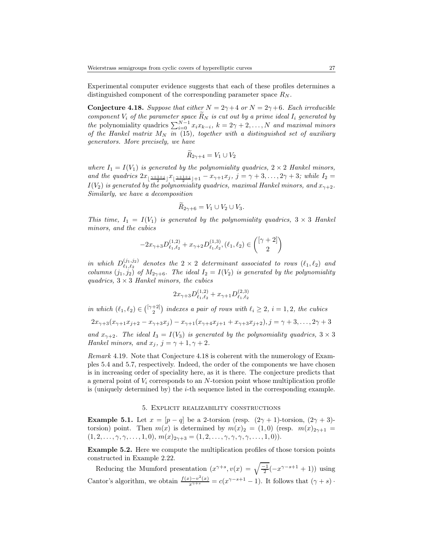Experimental computer evidence suggests that each of these profiles determines a distinguished component of the corresponding parameter space  $R_N$ .

<span id="page-26-1"></span>**Conjecture 4.18.** Suppose that either  $N = 2\gamma + 4$  or  $N = 2\gamma + 6$ . Each irreducible component  $V_i$  of the parameter space  $R_N$  is cut out by a prime ideal  $I_i$  generated by the polynomiality quadrics  $\sum_{i=0}^{N-1} x_i x_{k-i}$ ,  $k = 2\gamma + 2, \ldots, N$  and maximal minors of the Hankel matrix  $M_N$  in [\(15\)](#page-25-0), together with a distinguished set of auxiliary generators. More precisely, we have

$$
R_{2\gamma+4}=V_1\cup V_2
$$

where  $I_1 = I(V_1)$  is generated by the polynomiality quadrics,  $2 \times 2$  Hankel minors, and the quadrics  $2x_{\lfloor \frac{\gamma+1+j}{2} \rfloor}x_{\lfloor \frac{\gamma+1+j}{2} \rfloor+1} - x_{\gamma+1}x_j, j = \gamma+3, \ldots, 2\gamma+3$ ; while  $I_2 =$  $I(V_2)$  is generated by the polynomiality quadrics, maximal Hankel minors, and  $x_{\gamma+2}$ . Similarly, we have a decomposition

$$
\widetilde{R}_{2\gamma+6} = V_1 \cup V_2 \cup V_3.
$$

This time,  $I_1 = I(V_1)$  is generated by the polynomiality quadrics,  $3 \times 3$  Hankel minors, and the cubics

$$
-2x_{\gamma+3}D_{\ell_1,\ell_2}^{(1,2)}+x_{\gamma+2}D_{\ell_1,\ell_2}^{(1,3)},(\ell_1,\ell_2)\in\binom{[\gamma+2]}{2}
$$

in which  $D_{\ell_1,\ell_2}^{(j_1,j_2)}$  $\binom{(11,12)}{\ell_1,\ell_2}$  denotes the  $2 \times 2$  determinant associated to rows  $(\ell_1,\ell_2)$  and columns  $(j_1, j_2)$  of  $M_{2\gamma+6}$ . The ideal  $I_2 = I(V_2)$  is generated by the polynomiality quadrics,  $3 \times 3$  Hankel minors, the cubics

$$
2x_{\gamma+3}D_{\ell_1,\ell_2}^{(1,2)}+x_{\gamma+1}D_{\ell_1,\ell_2}^{(2,3)}
$$

in which  $(\ell_1, \ell_2) \in {\binom{[\gamma+2]}{2}}$  indexes a pair of rows with  $\ell_i \geq 2$ ,  $i = 1, 2$ , the cubics  $2x_{\gamma+3}(x_{\gamma+1}x_{j+2}-x_{\gamma+3}x_j)-x_{\gamma+1}(x_{\gamma+4}x_{j+1}+x_{\gamma+3}x_{j+2}), j=\gamma+3,\ldots,2\gamma+3$ and  $x_{\gamma+2}$ . The ideal  $I_3 = I(V_3)$  is generated by the polynomiality quadrics,  $3 \times 3$ Hankel minors, and  $x_j$ ,  $j = \gamma + 1, \gamma + 2$ .

Remark 4.19. Note that Conjecture [4.18](#page-26-1) is coherent with the numerology of Examples [5.4](#page-27-1) and [5.7,](#page-28-0) respectively. Indeed, the order of the components we have chosen is in increasing order of speciality here, as it is there. The conjecture predicts that a general point of  $V_i$  corresponds to an N-torsion point whose multiplication profile is (uniquely determined by) the  $i$ -th sequence listed in the corresponding example.

### 5. Explicit realizability constructions

<span id="page-26-2"></span><span id="page-26-0"></span>**Example 5.1.** Let  $x = [p - q]$  be a 2-torsion (resp.  $(2\gamma + 1)$ -torsion,  $(2\gamma + 3)$ torsion) point. Then  $m(x)$  is determined by  $m(x)_2 = (1,0)$  (resp.  $m(x)_{2\gamma+1} =$  $(1, 2, \ldots, \gamma, \gamma, \ldots, 1, 0), m(x)_{2\gamma+3} = (1, 2, \ldots, \gamma, \gamma, \gamma, \gamma, \ldots, 1, 0)).$ 

<span id="page-26-3"></span>Example 5.2. Here we compute the multiplication profiles of those torsion points constructed in Example [2.22.](#page-10-2)

Reducing the Mumford presentation  $(x^{\gamma+s}, v(x) = \sqrt{\frac{-1}{2}}(-x^{\gamma-s+1} + 1)$  using Cantor's algorithm, we obtain  $\frac{f(x)-v^2(x)}{x^{\gamma+s}}=c(x^{\gamma-s+1}-1)$ . It follows that  $(\gamma+s)$ .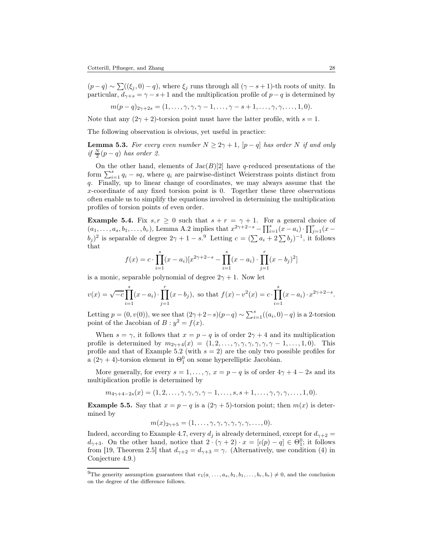$(p-q) \sim \sum ((\xi_j, 0) - q)$ , where  $\xi_j$  runs through all  $(\gamma - s + 1)$ -th roots of unity. In particular,  $d_{\gamma+s} = \gamma - s + 1$  and the multiplication profile of  $p - q$  is determined by

$$
m(p-q)_{2\gamma+2s}=(1,\ldots,\gamma,\gamma,\gamma-1,\ldots,\gamma-s+1,\ldots,\gamma,\gamma,\ldots,1,0).
$$

Note that any  $(2\gamma + 2)$ -torsion point must have the latter profile, with  $s = 1$ .

The following observation is obvious, yet useful in practice:

**Lemma 5.3.** For every even number  $N \geq 2\gamma + 1$ ,  $[p - q]$  has order N if and only if  $\frac{N}{2}(p-q)$  has order 2.

On the other hand, elements of  $Jac(B)[2]$  have q-reduced presentations of the form  $\sum_{i=1}^{s} q_i - sq$ , where  $q_i$  are pairwise-distinct Weierstrass points distinct from q. Finally, up to linear change of coordinates, we may always assume that the x-coordinate of any fixed torsion point is 0. Together these three observations often enable us to simplify the equations involved in determining the multiplication profiles of torsion points of even order.

<span id="page-27-1"></span>**Example 5.4.** Fix  $s, r \geq 0$  such that  $s + r = \gamma + 1$ . For a general choice of  $(a_1, \ldots, a_s, b_1, \ldots, b_r)$ , Lemma [A.2](#page-30-1) implies that  $x^{2\gamma+2-s} - \prod_{i=1}^s (x - a_i) \cdot \prod_{j=1}^r (x - a_j)$  $(b_j)^2$  is separable of degree  $2\gamma + 1 - s$ .<sup>9</sup> Letting  $c = (\sum a_i + 2\sum b_j)^{-1}$ , it follows that

$$
f(x) = c \cdot \prod_{i=1}^{s} (x - a_i) [x^{2\gamma + 2 - s} - \prod_{i=1}^{s} (x - a_i) \cdot \prod_{j=1}^{r} (x - b_j)^2]
$$

is a monic, separable polynomial of degree  $2\gamma + 1$ . Now let

$$
v(x) = \sqrt{-c} \prod_{i=1}^{s} (x - a_i) \cdot \prod_{j=1}^{r} (x - b_j), \text{ so that } f(x) - v^2(x) = c \cdot \prod_{i=1}^{s} (x - a_i) \cdot x^{2\gamma + 2 - s}.
$$

Letting  $p = (0, v(0))$ , we see that  $(2\gamma + 2 - s)(p - q) \sim \sum_{i=1}^{s} ((a_i, 0) - q)$  is a 2-torsion point of the Jacobian of  $B: y^2 = f(x)$ .

When  $s = \gamma$ , it follows that  $x = p - q$  is of order  $2\gamma + 4$  and its multiplication profile is determined by  $m_{2\gamma+4}(x) = (1, 2, \ldots, \gamma, \gamma, \gamma, \gamma, \gamma, \gamma - 1, \ldots, 1, 0)$ . This profile and that of Example [5.2](#page-26-3) (with  $s = 2$ ) are the only two possible profiles for a  $(2\gamma + 4)$ -torsion element in  $\Theta_1^0$  on some hyperelliptic Jacobian.

More generally, for every  $s = 1, \ldots, \gamma$ ,  $x = p - q$  is of order  $4\gamma + 4 - 2s$  and its multiplication profile is determined by

 $m_{4\gamma+4-2s}(x) = (1, 2, \ldots, \gamma, \gamma, \gamma, \gamma-1, \ldots, s, s+1, \ldots, \gamma, \gamma, \gamma, \ldots, 1, 0).$ 

<span id="page-27-0"></span>**Example 5.5.** Say that  $x = p - q$  is a  $(2\gamma + 5)$ -torsion point; then  $m(x)$  is determined by

$$
m(x)_{2\gamma+5}=(1,\ldots,\gamma,\gamma,\gamma,\gamma,\gamma,\gamma,\ldots,0).
$$

Indeed, according to Example [4.7,](#page-21-4) every  $d_j$  is already determined, except for  $d_{\gamma+2} =$  $d_{\gamma+3}$ . On the other hand, notice that  $2 \cdot (\gamma + 2) \cdot x = [\iota(p) - q] \in \Theta_1^0$ ; it follows from [\[19,](#page-34-5) Theorem 2.5] that  $d_{\gamma+2} = d_{\gamma+3} = \gamma$ . (Alternatively, use condition (4) in Conjecture [4.9.](#page-22-0))

<sup>&</sup>lt;sup>9</sup>The generity assumption guarantees that  $e_1(a, \ldots, a_s, b_1, b_1, \ldots, b_r, b_r) \neq 0$ , and the conclusion on the degree of the difference follows.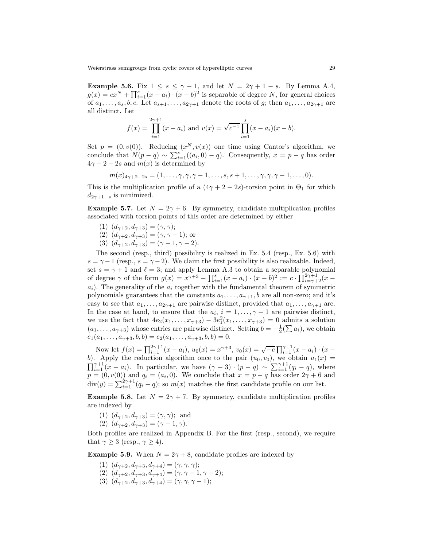<span id="page-28-1"></span>**Example 5.6.** Fix  $1 \leq s \leq \gamma - 1$ , and let  $N = 2\gamma + 1 - s$ . By Lemma [A.4,](#page-31-1)  $g(x) = cx^N + \prod_{i=1}^s (x - a_i) \cdot (x - b)^2$  is separable of degree N, for general choices of  $a_1, \ldots, a_s, b, c$ . Let  $a_{s+1}, \ldots, a_{2\gamma+1}$  denote the roots of g; then  $a_1, \ldots, a_{2\gamma+1}$  are all distinct. Let

$$
f(x) = \prod_{i=1}^{2\gamma+1} (x - a_i) \text{ and } v(x) = \sqrt{c^{-1}} \prod_{i=1}^{s} (x - a_i)(x - b).
$$

Set  $p = (0, v(0))$ . Reducing  $(x^N, v(x))$  one time using Cantor's algorithm, we conclude that  $N(p-q) \sim \sum_{i=1}^{s} ((a_i, 0) - q)$ . Consequently,  $x = p - q$  has order  $4\gamma + 2 - 2s$  and  $m(x)$  is determined by

$$
m(x)_{4\gamma+2-2s} = (1, \ldots, \gamma, \gamma, \gamma-1, \ldots, s, s+1, \ldots, \gamma, \gamma, \gamma-1, \ldots, 0).
$$

This is the multiplication profile of a  $(4\gamma + 2 - 2s)$ -torsion point in  $\Theta_1$  for which  $d_{2\gamma+1-s}$  is minimized.

<span id="page-28-0"></span>**Example 5.7.** Let  $N = 2\gamma + 6$ . By symmetry, candidate multiplication profiles associated with torsion points of this order are determined by either

- (1)  $(d_{\gamma+2}, d_{\gamma+3}) = (\gamma, \gamma);$
- (2)  $(d_{\gamma+2}, d_{\gamma+3}) = (\gamma, \gamma 1)$ ; or
- (3)  $(d_{\gamma+2}, d_{\gamma+3}) = (\gamma 1, \gamma 2).$

The second (resp., third) possibility is realized in Ex. [5.4](#page-27-1) (resp., Ex. [5.6\)](#page-28-1) with  $s = \gamma - 1$  (resp.,  $s = \gamma - 2$ ). We claim the first possibility is also realizable. Indeed, set  $s = \gamma + 1$  and  $\ell = 3$ ; and apply Lemma [A.3](#page-30-2) to obtain a separable polynomial of degree  $\gamma$  of the form  $g(x) = x^{\gamma+3} - \prod_{i=1}^{s} (x - a_i) \cdot (x - b)^2 := c \cdot \prod_{i=\gamma+2}^{2\gamma+1} (x - a_i)$  $a_i$ ). The generality of the  $a_i$  together with the fundamental theorem of symmetric polynomials guarantees that the constants  $a_1, \ldots, a_{\gamma+1}, b$  are all non-zero; and it's easy to see that  $a_1, \ldots, a_{2\gamma+1}$  are pairwise distinct, provided that  $a_1, \ldots, a_{\gamma+1}$  are. In the case at hand, to ensure that the  $a_i$ ,  $i = 1, \ldots, \gamma + 1$  are pairwise distinct, we use the fact that  $4e_2(x_1,\ldots,x_{\gamma+3})-3e_1^2(x_1,\ldots,x_{\gamma+3})=0$  admits a solution  $(a_1, \ldots, a_{\gamma+3})$  whose entries are pairwise distinct. Setting  $b = -\frac{1}{2}(\sum a_i)$ , we obtain  $e_1(a_1, \ldots, a_{\gamma+3}, b, b) = e_2(a_1, \ldots, a_{\gamma+3}, b, b) = 0.$ 

Now let  $f(x) = \prod_{i=1}^{2\gamma+1} (x - a_i), u_0(x) = x^{\gamma+3}, v_0(x) = \sqrt{-c} \prod_{i=1}^{\gamma+1} (x - a_i) \cdot (x - a_i)$ b). Apply the reduction algorithm once to the pair  $(u_0, v_0)$ , we obtain  $u_1(x) =$  $\prod_{i=1}^{\gamma+1}(x-a_i)$ . In particular, we have  $(\gamma+3)\cdot(p-q) \sim \sum_{i=1}^{\gamma+1}(q_i-q)$ , where  $p = (0, v(0))$  and  $q_i = (a_i, 0)$ . We conclude that  $x = p - q$  has order  $2\gamma + 6$  and  $div(y) = \sum_{i=1}^{2\gamma+1} (q_i - q)$ ; so  $m(x)$  matches the first candidate profile on our list.

<span id="page-28-3"></span>**Example 5.8.** Let  $N = 2\gamma + 7$ . By symmetry, candidate multiplication profiles are indexed by

- (1)  $(d_{\gamma+2}, d_{\gamma+3}) = (\gamma, \gamma)$ ; and
- (2)  $(d_{\gamma+2}, d_{\gamma+3}) = (\gamma 1, \gamma).$

Both profiles are realized in Appendix [B.](#page-31-0) For the first (resp., second), we require that  $\gamma \geq 3$  (resp.,  $\gamma \geq 4$ ).

<span id="page-28-2"></span>**Example 5.9.** When  $N = 2\gamma + 8$ , candidate profiles are indexed by

- (1)  $(d_{\gamma+2}, d_{\gamma+3}, d_{\gamma+4}) = (\gamma, \gamma, \gamma);$
- (2)  $(d_{\gamma+2}, d_{\gamma+3}, d_{\gamma+4}) = (\gamma, \gamma 1, \gamma 2);$
- (3)  $(d_{\gamma+2}, d_{\gamma+3}, d_{\gamma+4}) = (\gamma, \gamma, \gamma 1);$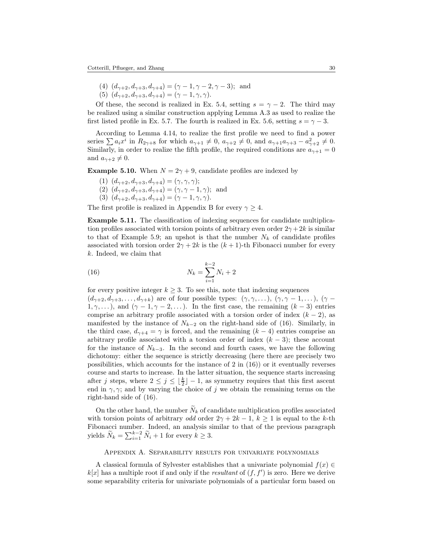- (4)  $(d_{\gamma+2}, d_{\gamma+3}, d_{\gamma+4}) = (\gamma 1, \gamma 2, \gamma 3);$  and
- (5)  $(d_{\gamma+2}, d_{\gamma+3}, d_{\gamma+4}) = (\gamma 1, \gamma, \gamma).$

Of these, the second is realized in Ex. [5.4,](#page-27-1) setting  $s = \gamma - 2$ . The third may be realized using a similar construction applying Lemma [A.3](#page-30-2) as used to realize the first listed profile in Ex. [5.7.](#page-28-0) The fourth is realized in Ex. [5.6,](#page-28-1) setting  $s = \gamma - 3$ .

According to Lemma [4.14,](#page-23-1) to realize the first profile we need to find a power series  $\sum a_i x^i$  in  $R_{2\gamma+8}$  for which  $a_{\gamma+1} \neq 0$ ,  $a_{\gamma+2} \neq 0$ , and  $a_{\gamma+1}a_{\gamma+3} - a_{\gamma+2}^2 \neq 0$ . Similarly, in order to realize the fifth profile, the required conditions are  $a_{\gamma+1} = 0$ and  $a_{\gamma+2} \neq 0$ .

**Example 5.10.** When  $N = 2\gamma + 9$ , candidate profiles are indexed by

- (1)  $(d_{\gamma+2}, d_{\gamma+3}, d_{\gamma+4}) = (\gamma, \gamma, \gamma);$
- (2)  $(d_{\gamma+2}, d_{\gamma+3}, d_{\gamma+4}) = (\gamma, \gamma 1, \gamma);$  and
- (3)  $(d_{\gamma+2}, d_{\gamma+3}, d_{\gamma+4}) = (\gamma 1, \gamma, \gamma).$

The first profile is realized in Appendix [B](#page-31-0) for every  $\gamma > 4$ .

<span id="page-29-1"></span>Example 5.11. The classification of indexing sequences for candidate multiplication profiles associated with torsion points of arbitrary even order  $2\gamma + 2k$  is similar to that of Example [5.9;](#page-28-2) an upshot is that the number  $N_k$  of candidate profiles associated with torsion order  $2\gamma + 2k$  is the  $(k + 1)$ -th Fibonacci number for every k. Indeed, we claim that

<span id="page-29-2"></span>(16) 
$$
N_k = \sum_{i=1}^{k-2} N_i + 2
$$

for every positive integer  $k \geq 3$ . To see this, note that indexing sequences

 $(d_{\gamma+2}, d_{\gamma+3}, \ldots, d_{\gamma+k})$  are of four possible types:  $(\gamma, \gamma, \ldots), (\gamma, \gamma-1, \ldots), (\gamma-k)$  $1, \gamma, \ldots$ ), and  $(\gamma - 1, \gamma - 2, \ldots)$ . In the first case, the remaining  $(k - 3)$  entries comprise an arbitrary profile associated with a torsion order of index  $(k-2)$ , as manifested by the instance of  $N_{k-2}$  on the right-hand side of [\(16\)](#page-29-2). Similarly, in the third case,  $d_{\gamma+4} = \gamma$  is forced, and the remaining  $(k-4)$  entries comprise an arbitrary profile associated with a torsion order of index  $(k-3)$ ; these account for the instance of  $N_{k-3}$ . In the second and fourth cases, we have the following dichotomy: either the sequence is strictly decreasing (here there are precisely two possibilities, which accounts for the instance of 2 in [\(16\)](#page-29-2)) or it eventually reverses course and starts to increase. In the latter situation, the sequence starts increasing after j steps, where  $2 \leq j \leq \lfloor \frac{k}{2} \rfloor - 1$ , as symmetry requires that this first ascent end in  $\gamma$ ,  $\gamma$ ; and by varying the choice of j we obtain the remaining terms on the right-hand side of [\(16\)](#page-29-2).

On the other hand, the number  $N_k$  of candidate multiplication profiles associated with torsion points of arbitrary *odd* order  $2\gamma + 2k - 1$ ,  $k \ge 1$  is equal to the k-th Fibonacci number. Indeed, an analysis similar to that of the previous paragraph yields  $\widetilde{N}_k = \sum_{i=1}^{k-2} \widetilde{N}_i + 1$  for every  $k \geq 3$ .

### <span id="page-29-0"></span>Appendix A. Separability results for univariate polynomials

A classical formula of Sylvester establishes that a univariate polynomial  $f(x) \in$  $k[x]$  has a multiple root if and only if the *resultant* of  $(f, f')$  is zero. Here we derive some separability criteria for univariate polynomials of a particular form based on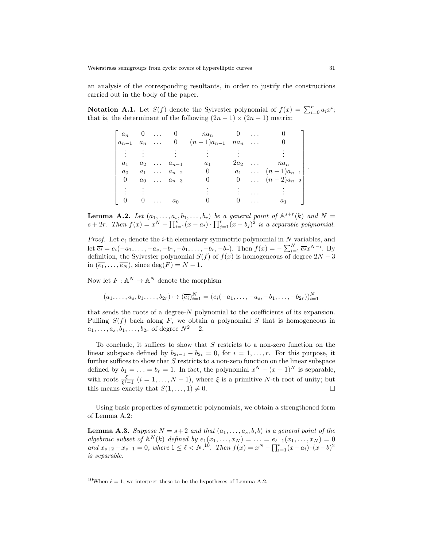an analysis of the corresponding resultants, in order to justify the constructions carried out in the body of the paper.

<span id="page-30-0"></span>**Notation A.1.** Let  $S(f)$  denote the Sylvester polynomial of  $f(x) = \sum_{i=0}^{n} a_i x^i$ ; that is, the determinant of the following  $(2n - 1) \times (2n - 1)$  matrix:

| $a_n$     |              | $0 \ldots$ |                      | $na_n$                  | U             | $\cdots$ |                      |
|-----------|--------------|------------|----------------------|-------------------------|---------------|----------|----------------------|
| $a_{n-1}$ | $a_n \ldots$ |            |                      | 0 $(n-1)a_{n-1}$ $na_n$ |               |          |                      |
|           |              |            |                      |                         |               |          |                      |
| $a_1$     |              |            | $a_2 \ldots a_{n-1}$ | $a_1$                   | $2a_2 \ldots$ |          | $na_n$               |
| $a_0$     |              |            | $a_1 \ldots a_{n-2}$ | U                       |               |          | $a_1$ $(n-1)a_{n-1}$ |
| $\theta$  |              |            | $a_0 \ldots a_{n-3}$ |                         |               |          | 0 $(n-2)a_{n-2}$     |
|           |              |            |                      |                         |               |          |                      |
|           |              | $\cdots$   | $a_0$                |                         |               | $\cdots$ | $a_1$                |

<span id="page-30-1"></span>**Lemma A.2.** Let  $(a_1, \ldots, a_s, b_1, \ldots, b_r)$  be a general point of  $\mathbb{A}^{s+r}(k)$  and  $N =$ s + 2r. Then  $f(x) = x^N - \prod_{i=1}^s (x - a_i) \cdot \prod_{j=1}^r (x - b_j)^2$  is a separable polynomial.

*Proof.* Let  $e_i$  denote the *i*-th elementary symmetric polynomial in  $N$  variables, and let  $\overline{e_i} = e_i(-a_1, \ldots, -a_s, -b_1, -b_1, \ldots, -b_r, -b_r)$ . Then  $f(x) = -\sum_{i=1}^{N} \overline{e_i} x^{N-i}$ . By definition, the Sylvester polynomial  $S(f)$  of  $f(x)$  is homogeneous of degree  $2N-3$ in  $(\overline{e_1}, \ldots, \overline{e_N})$ , since  $\deg(F) = N - 1$ .

Now let  $F: \mathbb{A}^N \to \mathbb{A}^N$  denote the morphism

$$
(a_1, \ldots, a_s, b_1, \ldots, b_{2r}) \mapsto (\overline{e_i})_{i=1}^N = (e_i(-a_1, \ldots, -a_s, -b_1, \ldots, -b_{2r}))_{i=1}^N
$$

that sends the roots of a degree-N polynomial to the coefficients of its expansion. Pulling  $S(f)$  back along F, we obtain a polynomial S that is homogeneous in  $a_1, \ldots, a_s, b_1, \ldots, b_{2r}$  of degree  $N^2 - 2$ .

To conclude, it suffices to show that  $S$  restricts to a non-zero function on the linear subspace defined by  $b_{2i-1} - b_{2i} = 0$ , for  $i = 1, ..., r$ . For this purpose, it further suffices to show that  $S$  restricts to a non-zero function on the linear subspace defined by  $b_1 = \ldots = b_r = 1$ . In fact, the polynomial  $x^N - (x - 1)^N$  is separable, with roots  $\frac{\xi^i}{\xi^i}$  $\frac{\xi}{\xi^i-1}$   $(i = 1, \ldots, N-1)$ , where  $\xi$  is a primitive N-th root of unity; but this means exactly that  $S(1, \ldots, 1) \neq 0$ .

Using basic properties of symmetric polynomials, we obtain a strengthened form of Lemma [A.2:](#page-30-1)

<span id="page-30-2"></span>**Lemma A.3.** Suppose  $N = s+2$  and that  $(a_1, \ldots, a_s, b, b)$  is a general point of the algebraic subset of  $\mathbb{A}^N(k)$  defined by  $e_1(x_1,\ldots,x_N) = \ldots = e_{\ell-1}(x_1,\ldots,x_N) = 0$ and  $x_{s+2} - x_{s+1} = 0$ , where  $1 \leq \ell < N$ .<sup>10</sup>. Then  $f(x) = x^N - \prod_{i=1}^s (x - a_i) \cdot (x - b)^2$ is separable.

.

<sup>&</sup>lt;sup>10</sup>When  $\ell = 1$ , we interpret these to be the hypotheses of Lemma [A.2.](#page-30-1)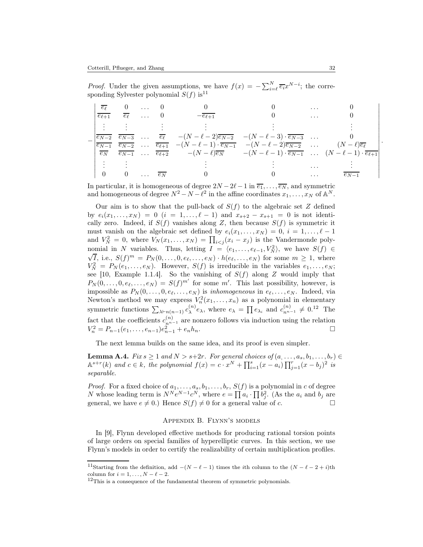*Proof.* Under the given assumptions, we have  $f(x) = -\sum_{i=0}^{N} \overline{e_i} x^{N-i}$ ; the corresponding Sylvester polynomial  $S(f)$  is<sup>11</sup>

| $e_{\ell}$   | $\theta$                | $\ldots$ 0 |                  |                                                                                                                                                                       | $\cdots$ |           |  |
|--------------|-------------------------|------------|------------------|-----------------------------------------------------------------------------------------------------------------------------------------------------------------------|----------|-----------|--|
| $e_{\ell+1}$ | $\overline{e_{\ell}}$ 0 |            |                  | $-e_{\ell+1}$                                                                                                                                                         | $\cdots$ |           |  |
|              |                         |            |                  |                                                                                                                                                                       |          |           |  |
|              |                         |            |                  | $\overline{e_{N-2}}$ $\overline{e_{N-3}}$ $\overline{e_{\ell}}$ $-(N-\ell-2)\overline{e_{N-2}}$ $-(N-\ell-3)\cdot\overline{e_{N-3}}$                                  |          |           |  |
|              |                         |            |                  | $\overline{e_{N-1}}$ $\overline{e_{N-2}}$ $\overline{e_{\ell+1}}$ $-(N-\ell-1)\cdot \overline{e_{N-1}}$ $-(N-\ell-2)\overline{e_{N-2}}$ $(N-\ell)\overline{e_{\ell}}$ |          |           |  |
|              |                         |            |                  | $\overline{e_N}$ $\overline{e_{N-1}}$ $\overline{e_{\ell+2}}$ $-(N-\ell)\overline{e_N}$ $-(N-\ell-1)\cdot\overline{e_{N-1}}$ $(N-\ell-1)\cdot\overline{e_{\ell+1}}$   |          |           |  |
|              |                         |            |                  |                                                                                                                                                                       |          |           |  |
|              | $\hspace{0.6cm}0$       | $\cdots$   | $\overline{e}_N$ |                                                                                                                                                                       | $\cdots$ | $e_{N-1}$ |  |

In particular, it is homogeneous of degree  $2N - 2\ell - 1$  in  $\overline{e_1}, \ldots, \overline{e_N}$ , and symmetric and homogeneous of degree  $N^2 - N - \ell^2$  in the affine coordinates  $x_1, \ldots, x_N$  of  $\mathbb{A}^N$ .

Our aim is to show that the pull-back of  $S(f)$  to the algebraic set Z defined by  $e_i(x_1,...,x_N) = 0$   $(i = 1,...,\ell-1)$  and  $x_{s+2} - x_{s+1} = 0$  is not identically zero. Indeed, if  $S(f)$  vanishes along Z, then because  $S(f)$  is symmetric it must vanish on the algebraic set defined by  $e_i(x_1, \ldots, x_N) = 0, i = 1, \ldots, \ell - 1$ and  $V_N^2 = 0$ , where  $V_N(x_1, \ldots, x_N) = \prod_{i < j} (x_i - x_j)$  is the Vandermonde polynomial in N variables. Thus, letting  $I = \langle e_1, \ldots, e_{\ell-1}, V_N^2 \rangle$ , we have  $S(f) \in \mathbb{R}$  $\sqrt{I}$ , i.e.,  $S(f)^m = P_N(0, \ldots, 0, e_\ell, \ldots, e_N) \cdot h(e_\ell, \ldots, e_N)$  for some  $m \ge 1$ , where  $V_N^2 = P_N(e_1, \ldots, e_N)$ . However,  $S(f)$  is irreducible in the variables  $e_1, \ldots, e_N$ ; see [\[10,](#page-34-19) Example 1.1.4]. So the vanishing of  $S(f)$  along Z would imply that  $P_N(0,\ldots,0,e_\ell,\ldots,e_N) = S(f)^{m'}$  for some m'. This last possibility, however, is impossible as  $P_N(0, \ldots, 0, e_\ell, \ldots, e_N)$  is *inhomogeneous* in  $e_\ell, \ldots, e_N$ . Indeed, via Newton's method we may express  $V_n^2(x_1, \ldots, x_n)$  as a polynomial in elementary symmetric functions  $\sum_{\lambda \vdash n(n-1)} c_{\lambda}^{(n)}$  $\lambda^{(n)}e_{\lambda}$ , where  $e_{\lambda} = \prod e_{\lambda_i}$  and  $c_{n^{n-1}}^{(n)} \neq 0.12$  The fact that the coefficients  $c_{n^{n-1}}^{(n)}$  are nonzero follows via induction using the relation  $V_n^2 = P_{n-1}(e_1, \ldots, e_{n-1})e_{n-1}^2 + e_n h_n.$ 

The next lemma builds on the same idea, and its proof is even simpler.

<span id="page-31-1"></span>**Lemma A.4.** Fix  $s \geq 1$  and  $N > s+2r$ . For general choices of  $(a, \ldots, a_s, b_1, \ldots, b_r) \in$  $\mathbb{A}^{s+r}(k)$  and  $c \in k$ , the polynomial  $f(x) = c \cdot x^N + \prod_{i=1}^s (x - a_i) \prod_{j=1}^r (x - b_j)^2$  is separable.

*Proof.* For a fixed choice of  $a_1, \ldots, a_s, b_1, \ldots, b_r$ ,  $S(f)$  is a polynomial in c of degree N whose leading term is  $N^N e^{N-1} c^N$ , where  $e = \prod a_i \cdot \prod b_j^2$ . (As the  $a_i$  and  $b_j$  are general, we have  $e \neq 0$ .) Hence  $S(f) \neq 0$  for a general value of c.

### Appendix B. Flynn's models

<span id="page-31-0"></span>In [\[9\]](#page-34-7), Flynn developed effective methods for producing rational torsion points of large orders on special families of hyperelliptic curves. In this section, we use Flynn's models in order to certify the realizability of certain multiplication profiles.

<sup>&</sup>lt;sup>11</sup>Starting from the definition, add  $-(N - \ell - 1)$  times the *i*th column to the  $(N - \ell - 2 + i)$ <sup>th</sup> column for  $i = 1, \ldots, N - \ell - 2$ .

 $12$ This is a consequence of the fundamental theorem of symmetric polynomials.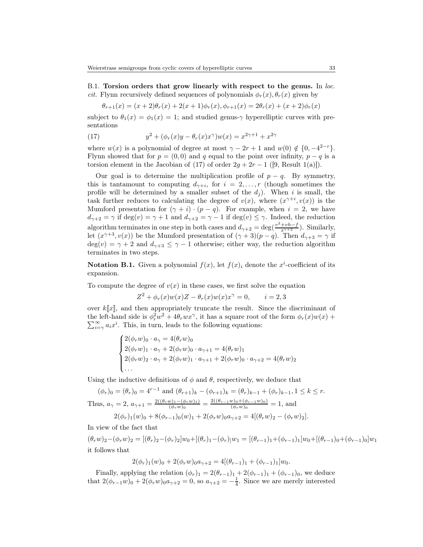B.1. Torsion orders that grow linearly with respect to the genus. In loc. *cit.* Flynn recursively defined sequences of polynomials  $\phi_r(x), \theta_r(x)$  given by

<span id="page-32-0"></span>
$$
\theta_{r+1}(x) = (x+2)\theta_r(x) + 2(x+1)\phi_r(x), \phi_{r+1}(x) = 2\theta_r(x) + (x+2)\phi_r(x)
$$

subject to  $\theta_1(x) = \phi_1(x) = 1$ ; and studied genus- $\gamma$  hyperelliptic curves with presentations

(17) 
$$
y^{2} + (\phi_{r}(x)y - \theta_{r}(x)x^{\gamma})w(x) = x^{2\gamma+1} + x^{2\gamma}
$$

where  $w(x)$  is a polynomial of degree at most  $\gamma - 2r + 1$  and  $w(0) \notin \{0, -4^{2-r}\}.$ Flynn showed that for  $p = (0, 0)$  and q equal to the point over infinity,  $p - q$  is a torsion element in the Jacobian of [\(17\)](#page-32-0) of order  $2g + 2r - 1$  ([\[9,](#page-34-7) Result 1(a)]).

Our goal is to determine the multiplication profile of  $p - q$ . By symmetry, this is tantamount to computing  $d_{\gamma+i}$ , for  $i = 2, \ldots, r$  (though sometimes the profile will be determined by a smaller subset of the  $d_i$ ). When i is small, the task further reduces to calculating the degree of  $v(x)$ , where  $(x^{\gamma+i}, v(x))$  is the Mumford presentation for  $(\gamma + i) \cdot (p - q)$ . For example, when  $i = 2$ , we have  $d_{\gamma+2} = \gamma$  if  $\deg(v) = \gamma + 1$  and  $d_{\gamma+2} = \gamma - 1$  if  $\deg(v) \leq \gamma$ . Indeed, the reduction algorithm terminates in one step in both cases and  $d_{\gamma+2} = \deg(\frac{v^2 + vh - f}{x^{\gamma+2}})$ . Similarly, let  $(x^{\gamma+3}, v(x))$  be the Mumford presentation of  $(\gamma+3)(p-q)$ . Then  $d_{\gamma+3} = \gamma$  if  $deg(v) = \gamma + 2$  and  $d_{\gamma+3} \leq \gamma - 1$  otherwise; either way, the reduction algorithm terminates in two steps.

**Notation B.1.** Given a polynomial  $f(x)$ , let  $f(x)$  denote the x<sup>i</sup>-coefficient of its expansion.

To compute the degree of  $v(x)$  in these cases, we first solve the equation

$$
Z^2 + \phi_r(x)w(x)Z - \theta_r(x)w(x)x^{\gamma} = 0, \qquad i = 2, 3
$$

over  $k[\![x]\!]$ , and then appropriately truncate the result. Since the discriminant of the left-hand side is  $\phi_r^2 w^2 + 4\theta_r w x^{\gamma}$ , it has a square root of the form  $\phi_r(x)w(x)$  +  $\sum_{i=\gamma}^{\infty} a_i x^i$ . This, in turn, leads to the following equations:

$$
\begin{cases} 2(\phi_r w)_0 \cdot a_\gamma = 4(\theta_r w)_0 \\ 2(\phi_r w)_1 \cdot a_\gamma + 2(\phi_r w)_0 \cdot a_{\gamma+1} = 4(\theta_r w)_1 \\ 2(\phi_r w)_2 \cdot a_\gamma + 2(\phi_r w)_1 \cdot a_{\gamma+1} + 2(\phi_r w)_0 \cdot a_{\gamma+2} = 4(\theta_r w)_2 \\ \dots \end{cases}
$$

Using the inductive definitions of  $\phi$  and  $\theta$ , respectively, we deduce that

$$
(\phi_r)_0 = (\theta_r)_0 = 4^{r-1} \text{ and } (\theta_{r+1})_k - (\phi_{r+1})_k = (\theta_r)_{k-1} + (\phi_r)_{k-1}, 1 \le k \le r.
$$
  
\nThus,  $a_\gamma = 2$ ,  $a_{\gamma+1} = \frac{2((\theta_r w)_{1} - (\phi_r w)_{1})}{(\phi_r w)_0} = \frac{2((\theta_{r-1} w)_{0} + (\phi_{r-1} w)_{0})}{(\phi_r w)_0} = 1$ , and  
\n
$$
2(\phi_r)_1(w)_0 + 8(\phi_{r-1})_0(w)_1 + 2(\phi_r w)_0 a_{\gamma+2} = 4[(\theta_r w)_2 - (\phi_r w)_2].
$$

In view of the fact that

 $(\theta_r w)_2-(\phi_r w)_2=[(\theta_r)_2-(\phi_r)_2]w_0+[(\theta_r)_1-(\phi_r)_1w_1=[(\theta_{r-1})_1+(\phi_{r-1})_1]w_0+[(\theta_{r-1})_0+(\phi_{r-1})_0]w_1$ it follows that

$$
2(\phi_r)_1(w)_0 + 2(\phi_r w)_0 a_{\gamma+2} = 4[(\theta_{r-1})_1 + (\phi_{r-1})_1]w_0.
$$

Finally, applying the relation  $(\phi_r)_1 = 2(\theta_{r-1})_1 + 2(\phi_{r-1})_1 + (\phi_{r-1})_0$ , we deduce that  $2(\phi_{r-1}w)_0 + 2(\phi_r w)_0 a_{\gamma+2} = 0$ , so  $a_{\gamma+2} = -\frac{1}{4}$ . Since we are merely interested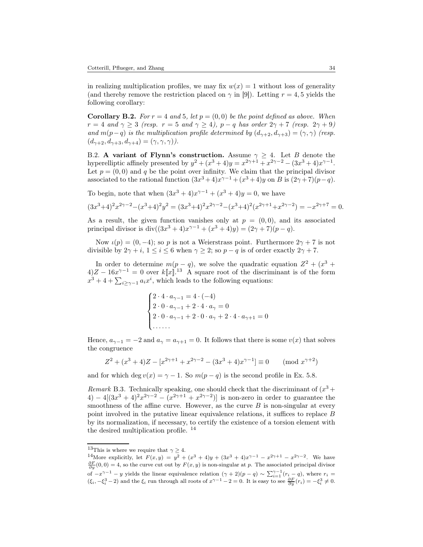in realizing multiplication profiles, we may fix  $w(x) = 1$  without loss of generality (and thereby remove the restriction placed on  $\gamma$  in [\[9\]](#page-34-7)). Letting  $r = 4, 5$  yields the following corollary:

**Corollary B.2.** For  $r = 4$  and 5, let  $p = (0, 0)$  be the point defined as above. When  $r = 4$  and  $\gamma \geq 3$  (resp.  $r = 5$  and  $\gamma \geq 4$ ),  $p - q$  has order  $2\gamma + 7$  (resp.  $2\gamma + 9$ ) and  $m(p-q)$  is the multiplication profile determined by  $(d_{\gamma+2}, d_{\gamma+3}) = (\gamma, \gamma)$  (resp.  $(d_{\gamma+2}, d_{\gamma+3}, d_{\gamma+4}) = (\gamma, \gamma, \gamma).$ 

B.2. A variant of Flynn's construction. Assume  $\gamma \geq 4$ . Let B denote the hyperelliptic affinely presented by  $y^2 + (x^3 + 4)y = x^{2\gamma + 1} + x^{2\gamma - 2} - (3x^3 + 4)x^{\gamma - 1}$ . Let  $p = (0, 0)$  and q be the point over infinity. We claim that the principal divisor associated to the rational function  $(3x^3+4)x^{\gamma-1} + (x^3+4)y$  on B is  $(2\gamma+7)(p-q)$ .

To begin, note that when  $(3x^3 + 4)x^{\gamma - 1} + (x^3 + 4)y = 0$ , we have

$$
(3x^3+4)^2x^{2\gamma-2} - (x^3+4)^2y^2 = (3x^3+4)^2x^{2\gamma-2} - (x^3+4)^2(x^{2\gamma+1} + x^{2\gamma-2}) = -x^{2\gamma+7} = 0.
$$

As a result, the given function vanishes only at  $p = (0, 0)$ , and its associated principal divisor is  $\text{div}((3x^3 + 4)x^{\gamma - 1} + (x^3 + 4)y) = (2\gamma + 7)(p - q)$ .

Now  $\iota(p) = (0, -4)$ ; so p is not a Weierstrass point. Furthermore  $2\gamma + 7$  is not divisible by  $2\gamma + i$ ,  $1 \leq i \leq 6$  when  $\gamma \geq 2$ ; so  $p - q$  is of order exactly  $2\gamma + 7$ .

In order to determine  $m(p-q)$ , we solve the quadratic equation  $Z^2 + (x^3 + z^2)$  $4)Z - 16x^{\gamma - 1} = 0$  over  $k[[x]]^{13}$ . A square root of the discriminant is of the form  $x^3 + 4 + \sum_{i \geq \gamma - 1} a_i x^i$ , which leads to the following equations:

$$
\begin{cases} 2 \cdot 4 \cdot a_{\gamma - 1} = 4 \cdot (-4) \\ 2 \cdot 0 \cdot a_{\gamma - 1} + 2 \cdot 4 \cdot a_{\gamma} = 0 \\ 2 \cdot 0 \cdot a_{\gamma - 1} + 2 \cdot 0 \cdot a_{\gamma} + 2 \cdot 4 \cdot a_{\gamma + 1} = 0 \\ \dots \end{cases}
$$

Hence,  $a_{\gamma-1} = -2$  and  $a_{\gamma} = a_{\gamma+1} = 0$ . It follows that there is some  $v(x)$  that solves the congruence

$$
Z^{2} + (x^{3} + 4)Z - [x^{2\gamma+1} + x^{2\gamma-2} - (3x^{3} + 4)x^{\gamma-1}] \equiv 0 \quad (\text{mod } x^{\gamma+2})
$$

and for which deg  $v(x) = \gamma - 1$ . So  $m(p - q)$  is the second profile in Ex. [5.8.](#page-28-3)

Remark B.3. Technically speaking, one should check that the discriminant of  $(x^3 +$ 4) –  $4[(3x^3+4)^2x^{2\gamma-2}-(x^{2\gamma+1}+x^{2\gamma-2})]$  is non-zero in order to guarantee the smoothness of the affine curve. However, as the curve  $B$  is non-singular at every point involved in the putative linear equivalence relations, it suffices to replace B by its normalization, if necessary, to certify the existence of a torsion element with the desired multiplication profile. <sup>14</sup>

<sup>&</sup>lt;sup>13</sup>This is where we require that  $\gamma \geq 4$ .

<sup>&</sup>lt;sup>14</sup>More explicitly, let  $F(x, y) = y^2 + (x^3 + 4)y + (3x^3 + 4)x^{\gamma-1} - x^{2\gamma+1} - x^{2\gamma-2}$ . We have  $\frac{\partial F}{\partial x}(0, 0) - 4$  so the curve cut out by  $F(x, y)$  is non-singular at n. The associated principal divisor  $\frac{\partial F}{\partial y}(0,0) = 4$ , so the curve cut out by  $F(x, y)$  is non-singular at p. The associated principal divisor of  $-x^{\gamma-1} - y$  yields the linear equivalence relation  $(\gamma + 2)(p - q) \sim \sum_{i=1}^{\gamma-1} (r_i - q)$ , where  $r_i =$  $(\xi_i, -\xi_i^3 - 2)$  and the  $\xi_i$  run through all roots of  $x^{\gamma-1} - 2 = 0$ . It is easy to see  $\frac{\partial F}{\partial y}(r_i) = -\xi_i^3 \neq 0$ .